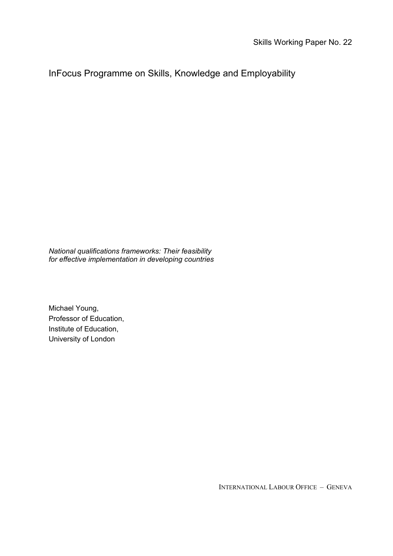InFocus Programme on Skills, Knowledge and Employability

*National qualifications frameworks: Their feasibility for effective implementation in developing countries* 

Michael Young, Professor of Education, Institute of Education, University of London

INTERNATIONAL LABOUR OFFICE - GENEVA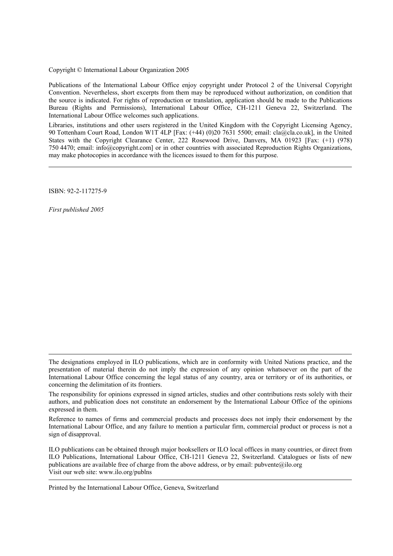Copyright © International Labour Organization 2005

Publications of the International Labour Office enjoy copyright under Protocol 2 of the Universal Copyright Convention. Nevertheless, short excerpts from them may be reproduced without authorization, on condition that the source is indicated. For rights of reproduction or translation, application should be made to the Publications Bureau (Rights and Permissions), International Labour Office, CH-1211 Geneva 22, Switzerland. The International Labour Office welcomes such applications.

Libraries, institutions and other users registered in the United Kingdom with the Copyright Licensing Agency, 90 Tottenham Court Road, London W1T 4LP [Fax: (+44) (0)20 7631 5500; email: cla@cla.co.uk], in the United States with the Copyright Clearance Center, 222 Rosewood Drive, Danvers, MA 01923 [Fax: (+1) (978) 750 4470; email: info@copyright.com] or in other countries with associated Reproduction Rights Organizations, may make photocopies in accordance with the licences issued to them for this purpose.

ISBN: 92-2-117275-9

*First published 2005*

ILO publications can be obtained through major booksellers or ILO local offices in many countries, or direct from ILO Publications, International Labour Office, CH-1211 Geneva 22, Switzerland. Catalogues or lists of new publications are available free of charge from the above address, or by email: pubvente@ilo.org Visit our web site: www.ilo.org/publns

The designations employed in ILO publications, which are in conformity with United Nations practice, and the presentation of material therein do not imply the expression of any opinion whatsoever on the part of the International Labour Office concerning the legal status of any country, area or territory or of its authorities, or concerning the delimitation of its frontiers.

The responsibility for opinions expressed in signed articles, studies and other contributions rests solely with their authors, and publication does not constitute an endorsement by the International Labour Office of the opinions expressed in them.

Reference to names of firms and commercial products and processes does not imply their endorsement by the International Labour Office, and any failure to mention a particular firm, commercial product or process is not a sign of disapproval.

Printed by the International Labour Office, Geneva, Switzerland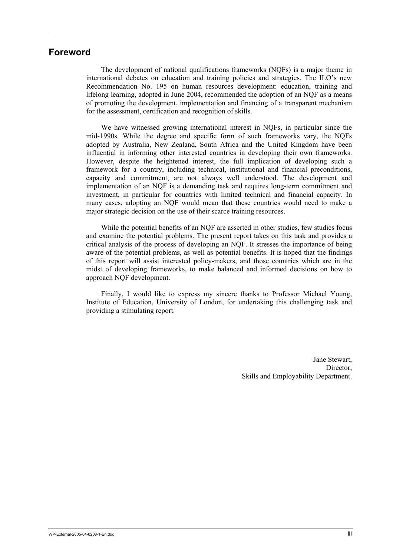## **Foreword**

The development of national qualifications frameworks (NQFs) is a major theme in international debates on education and training policies and strategies. The ILO's new Recommendation No. 195 on human resources development: education, training and lifelong learning, adopted in June 2004, recommended the adoption of an NQF as a means of promoting the development, implementation and financing of a transparent mechanism for the assessment, certification and recognition of skills.

We have witnessed growing international interest in NQFs, in particular since the mid-1990s. While the degree and specific form of such frameworks vary, the NQFs adopted by Australia, New Zealand, South Africa and the United Kingdom have been influential in informing other interested countries in developing their own frameworks. However, despite the heightened interest, the full implication of developing such a framework for a country, including technical, institutional and financial preconditions, capacity and commitment, are not always well understood. The development and implementation of an NQF is a demanding task and requires long-term commitment and investment, in particular for countries with limited technical and financial capacity. In many cases, adopting an NQF would mean that these countries would need to make a major strategic decision on the use of their scarce training resources.

While the potential benefits of an NQF are asserted in other studies, few studies focus and examine the potential problems. The present report takes on this task and provides a critical analysis of the process of developing an NQF. It stresses the importance of being aware of the potential problems, as well as potential benefits. It is hoped that the findings of this report will assist interested policy-makers, and those countries which are in the midst of developing frameworks, to make balanced and informed decisions on how to approach NQF development.

Finally, I would like to express my sincere thanks to Professor Michael Young, Institute of Education, University of London, for undertaking this challenging task and providing a stimulating report.

> Jane Stewart, Director, Skills and Employability Department.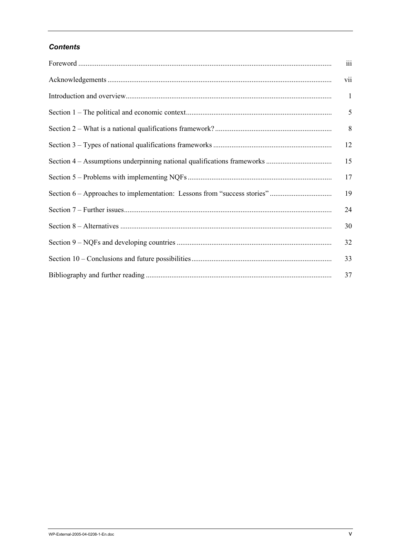## *Contents*

| iii          |
|--------------|
| vii          |
| $\mathbf{1}$ |
| 5            |
| 8            |
| 12           |
| 15           |
| 17           |
| 19           |
| 24           |
| 30           |
| 32           |
| 33           |
| 37           |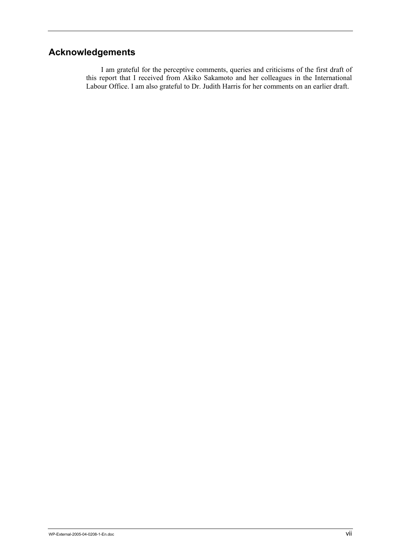# **Acknowledgements**

I am grateful for the perceptive comments, queries and criticisms of the first draft of this report that I received from Akiko Sakamoto and her colleagues in the International Labour Office. I am also grateful to Dr. Judith Harris for her comments on an earlier draft.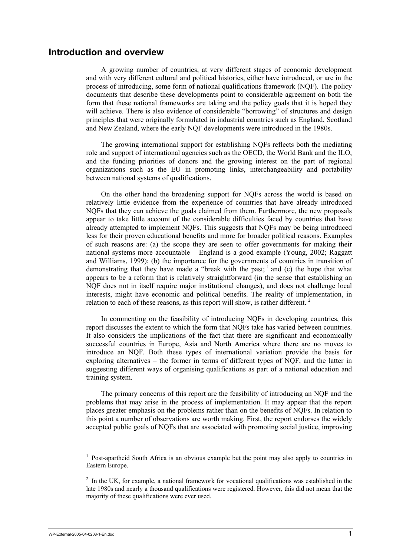## **Introduction and overview**

A growing number of countries, at very different stages of economic development and with very different cultural and political histories, either have introduced, or are in the process of introducing, some form of national qualifications framework (NQF). The policy documents that describe these developments point to considerable agreement on both the form that these national frameworks are taking and the policy goals that it is hoped they will achieve. There is also evidence of considerable "borrowing" of structures and design principles that were originally formulated in industrial countries such as England, Scotland and New Zealand, where the early NQF developments were introduced in the 1980s.

The growing international support for establishing NQFs reflects both the mediating role and support of international agencies such as the OECD, the World Bank and the ILO, and the funding priorities of donors and the growing interest on the part of regional organizations such as the EU in promoting links, interchangeability and portability between national systems of qualifications.

On the other hand the broadening support for NQFs across the world is based on relatively little evidence from the experience of countries that have already introduced NQFs that they can achieve the goals claimed from them. Furthermore, the new proposals appear to take little account of the considerable difficulties faced by countries that have already attempted to implement NQFs. This suggests that NQFs may be being introduced less for their proven educational benefits and more for broader political reasons. Examples of such reasons are: (a) the scope they are seen to offer governments for making their national systems more accountable  $-$  England is a good example (Young, 2002; Raggatt and Williams, 1999); (b) the importance for the governments of countries in transition of demonstrating that they have made a "break with the past;  $\frac{1}{1}$  and (c) the hope that what appears to be a reform that is relatively straightforward (in the sense that establishing an NQF does not in itself require major institutional changes), and does not challenge local interests, might have economic and political benefits. The reality of implementation, in relation to each of these reasons, as this report will show, is rather different.<sup>2</sup>

In commenting on the feasibility of introducing NQFs in developing countries, this report discusses the extent to which the form that NQFs take has varied between countries. It also considers the implications of the fact that there are significant and economically successful countries in Europe, Asia and North America where there are no moves to introduce an NQF. Both these types of international variation provide the basis for exploring alternatives  $-$  the former in terms of different types of NQF, and the latter in suggesting different ways of organising qualifications as part of a national education and training system.

The primary concerns of this report are the feasibility of introducing an NQF and the problems that may arise in the process of implementation. It may appear that the report places greater emphasis on the problems rather than on the benefits of NQFs. In relation to this point a number of observations are worth making. First, the report endorses the widely accepted public goals of NQFs that are associated with promoting social justice, improving

<sup>&</sup>lt;sup>1</sup> Post-apartheid South Africa is an obvious example but the point may also apply to countries in Eastern Europe.

 $2 \text{ In the UK, for example, a national framework for vocalional qualifications was established in the$ late 1980s and nearly a thousand qualifications were registered. However, this did not mean that the majority of these qualifications were ever used.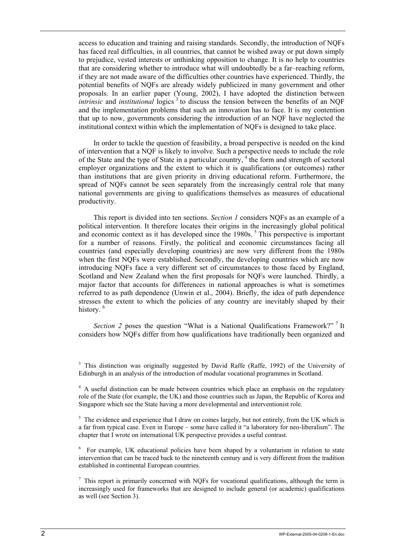access to education and training and raising standards. Secondly, the introduction of NQFs has faced real difficulties, in all countries, that cannot be wished away or put down simply to prejudice, vested interests or unthinking opposition to change. It is no help to countries that are considering whether to introduce what will undoubtedly be a far-reaching reform, if they are not made aware of the difficulties other countries have experienced. Thirdly, the potential benefits of NQFs are already widely publicized in many government and other proposals. In an earlier paper (Young, 2002), I have adopted the distinction between *intrinsic* and *institutional* logics<sup>3</sup> to discuss the tension between the benefits of an NQF and the implementation problems that such an innovation has to face. It is my contention that up to now, governments considering the introduction of an NQF have neglected the institutional context within which the implementation of NQFs is designed to take place.

In order to tackle the question of feasibility, a broad perspective is needed on the kind of intervention that a NQF is likely to involve. Such a perspective needs to include the role of the State and the type of State in a particular country,  $4 \text{ the form and strength of sectoral}$ employer organizations and the extent to which it is qualifications (or outcomes) rather than institutions that are given priority in driving educational reform. Furthermore, the spread of NQFs cannot be seen separately from the increasingly central role that many national governments are giving to qualifications themselves as measures of educational productivity.

This report is divided into ten sections. *Section 1* considers NQFs as an example of a political intervention. It therefore locates their origins in the increasingly global political and economic context as it has developed since the  $1980s$ .<sup>5</sup> This perspective is important for a number of reasons. Firstly, the political and economic circumstances facing all countries (and especially developing countries) are now very different from the 1980s when the first NQFs were established. Secondly, the developing countries which are now introducing NQFs face a very different set of circumstances to those faced by England, Scotland and New Zealand when the first proposals for NQFs were launched. Thirdly, a major factor that accounts for differences in national approaches is what is sometimes referred to as path dependence (Unwin et al., 2004). Briefly, the idea of path dependence stresses the extent to which the policies of any country are inevitably shaped by their history.<sup>6</sup>

*Section 2* poses the question "What is a National Qualifications Framework?" <sup>7</sup> It considers how NQFs differ from how qualifications have traditionally been organized and

<sup>&</sup>lt;sup>3</sup> This distinction was originally suggested by David Raffe (Raffe, 1992) of the University of Edinburgh in an analysis of the introduction of modular vocational programmes in Scotland.

<sup>&</sup>lt;sup>4</sup> A useful distinction can be made between countries which place an emphasis on the regulatory role of the State (for example, the UK) and those countries such as Japan, the Republic of Korea and Singapore which see the State having a more developmental and interventionist role.

 $5$  The evidence and experience that I draw on comes largely, but not entirely, from the UK which is a far from typical case. Even in Europe – some have called it "a laboratory for neo-liberalism". The chapter that I wrote on international UK perspective provides a useful contrast.

<sup>&</sup>lt;sup>6</sup> For example, UK educational policies have been shaped by a voluntarism in relation to state intervention that can be traced back to the nineteenth century and is very different from the tradition established in continental European countries.

 $<sup>7</sup>$  This report is primarily concerned with NQFs for vocational qualifications, although the term is</sup> increasingly used for frameworks that are designed to include general (or academic) qualifications as well (see Section 3).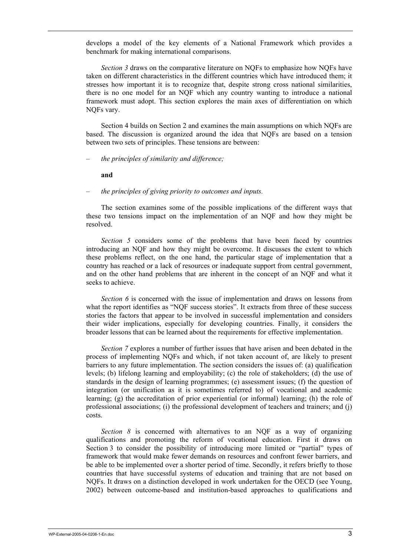develops a model of the key elements of a National Framework which provides a benchmark for making international comparisons.

*Section 3* draws on the comparative literature on NQFs to emphasize how NQFs have taken on different characteristics in the different countries which have introduced them; it stresses how important it is to recognize that, despite strong cross national similarities, there is no one model for an NQF which any country wanting to introduce a national framework must adopt. This section explores the main axes of differentiation on which NQFs vary.

Section 4 builds on Section 2 and examines the main assumptions on which NQFs are based. The discussion is organized around the idea that NQFs are based on a tension between two sets of principles. These tensions are between:

the principles of similarity and difference;

**and** 

the principles of giving priority to outcomes and inputs.

The section examines some of the possible implications of the different ways that these two tensions impact on the implementation of an NQF and how they might be resolved.

*Section 5* considers some of the problems that have been faced by countries introducing an NQF and how they might be overcome. It discusses the extent to which these problems reflect, on the one hand, the particular stage of implementation that a country has reached or a lack of resources or inadequate support from central government, and on the other hand problems that are inherent in the concept of an NQF and what it seeks to achieve.

*Section 6* is concerned with the issue of implementation and draws on lessons from what the report identifies as "NQF success stories". It extracts from three of these success stories the factors that appear to be involved in successful implementation and considers their wider implications, especially for developing countries. Finally, it considers the broader lessons that can be learned about the requirements for effective implementation.

*Section 7* explores a number of further issues that have arisen and been debated in the process of implementing NQFs and which, if not taken account of, are likely to present barriers to any future implementation. The section considers the issues of: (a) qualification levels; (b) lifelong learning and employability; (c) the role of stakeholders; (d) the use of standards in the design of learning programmes; (e) assessment issues; (f) the question of integration (or unification as it is sometimes referred to) of vocational and academic learning; (g) the accreditation of prior experiential (or informal) learning; (h) the role of professional associations; (i) the professional development of teachers and trainers; and (j) costs.

*Section 8* is concerned with alternatives to an NQF as a way of organizing qualifications and promoting the reform of vocational education. First it draws on Section 3 to consider the possibility of introducing more limited or "partial" types of framework that would make fewer demands on resources and confront fewer barriers, and be able to be implemented over a shorter period of time. Secondly, it refers briefly to those countries that have successful systems of education and training that are not based on NQFs. It draws on a distinction developed in work undertaken for the OECD (see Young, 2002) between outcome-based and institution-based approaches to qualifications and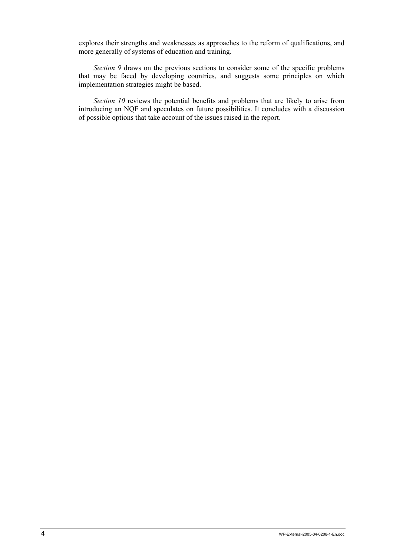explores their strengths and weaknesses as approaches to the reform of qualifications, and more generally of systems of education and training.

*Section 9* draws on the previous sections to consider some of the specific problems that may be faced by developing countries, and suggests some principles on which implementation strategies might be based.

*Section 10* reviews the potential benefits and problems that are likely to arise from introducing an NQF and speculates on future possibilities. It concludes with a discussion of possible options that take account of the issues raised in the report.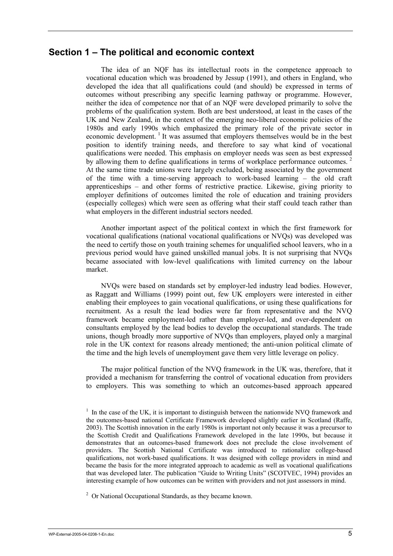## **Section 1 – The political and economic context**

The idea of an NQF has its intellectual roots in the competence approach to vocational education which was broadened by Jessup (1991), and others in England, who developed the idea that all qualifications could (and should) be expressed in terms of outcomes without prescribing any specific learning pathway or programme. However, neither the idea of competence nor that of an NQF were developed primarily to solve the problems of the qualification system. Both are best understood, at least in the cases of the UK and New Zealand, in the context of the emerging neo-liberal economic policies of the 1980s and early 1990s which emphasized the primary role of the private sector in economic development.<sup>1</sup> It was assumed that employers themselves would be in the best position to identify training needs, and therefore to say what kind of vocational qualifications were needed. This emphasis on employer needs was seen as best expressed by allowing them to define qualifications in terms of workplace performance outcomes.<sup>2</sup> At the same time trade unions were largely excluded, being associated by the government of the time with a time-serving approach to work-based learning  $-$  the old craft apprenticeships  $\overline{\phantom{a}}$  and other forms of restrictive practice. Likewise, giving priority to employer definitions of outcomes limited the role of education and training providers (especially colleges) which were seen as offering what their staff could teach rather than what employers in the different industrial sectors needed.

Another important aspect of the political context in which the first framework for vocational qualifications (national vocational qualifications or NVQs) was developed was the need to certify those on youth training schemes for unqualified school leavers, who in a previous period would have gained unskilled manual jobs. It is not surprising that NVQs became associated with low-level qualifications with limited currency on the labour market.

NVQs were based on standards set by employer-led industry lead bodies. However, as Raggatt and Williams (1999) point out, few UK employers were interested in either enabling their employees to gain vocational qualifications, or using these qualifications for recruitment. As a result the lead bodies were far from representative and the NVQ framework became employment-led rather than employer-led, and over-dependent on consultants employed by the lead bodies to develop the occupational standards. The trade unions, though broadly more supportive of NVQs than employers, played only a marginal role in the UK context for reasons already mentioned; the anti-union political climate of the time and the high levels of unemployment gave them very little leverage on policy.

The major political function of the NVQ framework in the UK was, therefore, that it provided a mechanism for transferring the control of vocational education from providers to employers. This was something to which an outcomes-based approach appeared

<sup>2</sup> Or National Occupational Standards, as they became known.

<sup>&</sup>lt;sup>1</sup> In the case of the UK, it is important to distinguish between the nationwide NVQ framework and the outcomes-based national Certificate Framework developed slightly earlier in Scotland (Raffe, 2003). The Scottish innovation in the early 1980s is important not only because it was a precursor to the Scottish Credit and Qualifications Framework developed in the late 1990s, but because it demonstrates that an outcomes-based framework does not preclude the close involvement of providers. The Scottish National Certificate was introduced to rationalize college-based qualifications, not work-based qualifications. It was designed with college providers in mind and became the basis for the more integrated approach to academic as well as vocational qualifications that was developed later. The publication "Guide to Writing Units" (SCOTVEC, 1994) provides an interesting example of how outcomes can be written with providers and not just assessors in mind.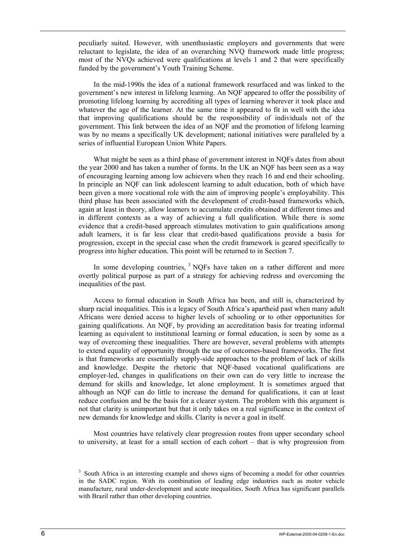peculiarly suited. However, with unenthusiastic employers and governments that were reluctant to legislate, the idea of an overarching NVQ framework made little progress; most of the NVQs achieved were qualifications at levels 1 and 2 that were specifically funded by the government's Youth Training Scheme.

In the mid-1990s the idea of a national framework resurfaced and was linked to the governmentís new interest in lifelong learning. An NQF appeared to offer the possibility of promoting lifelong learning by accrediting all types of learning wherever it took place and whatever the age of the learner. At the same time it appeared to fit in well with the idea that improving qualifications should be the responsibility of individuals not of the government. This link between the idea of an NQF and the promotion of lifelong learning was by no means a specifically UK development; national initiatives were paralleled by a series of influential European Union White Papers.

What might be seen as a third phase of government interest in NOFs dates from about the year 2000 and has taken a number of forms. In the UK an NQF has been seen as a way of encouraging learning among low achievers when they reach 16 and end their schooling. In principle an NQF can link adolescent learning to adult education, both of which have been given a more vocational role with the aim of improving people's employability. This third phase has been associated with the development of credit-based frameworks which, again at least in theory, allow learners to accumulate credits obtained at different times and in different contexts as a way of achieving a full qualification. While there is some evidence that a credit-based approach stimulates motivation to gain qualifications among adult learners, it is far less clear that credit-based qualifications provide a basis for progression, except in the special case when the credit framework is geared specifically to progress into higher education. This point will be returned to in Section 7.

In some developing countries,  $3$  NQFs have taken on a rather different and more overtly political purpose as part of a strategy for achieving redress and overcoming the inequalities of the past.

Access to formal education in South Africa has been, and still is, characterized by sharp racial inequalities. This is a legacy of South Africa's apartheid past when many adult Africans were denied access to higher levels of schooling or to other opportunities for gaining qualifications. An NQF, by providing an accreditation basis for treating informal learning as equivalent to institutional learning or formal education, is seen by some as a way of overcoming these inequalities. There are however, several problems with attempts to extend equality of opportunity through the use of outcomes-based frameworks. The first is that frameworks are essentially supply-side approaches to the problem of lack of skills and knowledge. Despite the rhetoric that NQF-based vocational qualifications are employer-led, changes in qualifications on their own can do very little to increase the demand for skills and knowledge, let alone employment. It is sometimes argued that although an NQF can do little to increase the demand for qualifications, it can at least reduce confusion and be the basis for a clearer system. The problem with this argument is not that clarity is unimportant but that it only takes on a real significance in the context of new demands for knowledge and skills. Clarity is never a goal in itself.

Most countries have relatively clear progression routes from upper secondary school to university, at least for a small section of each cohort  $-$  that is why progression from

<sup>&</sup>lt;sup>3</sup> South Africa is an interesting example and shows signs of becoming a model for other countries in the SADC region. With its combination of leading edge industries such as motor vehicle manufacture, rural under-development and acute inequalities, South Africa has significant parallels with Brazil rather than other developing countries.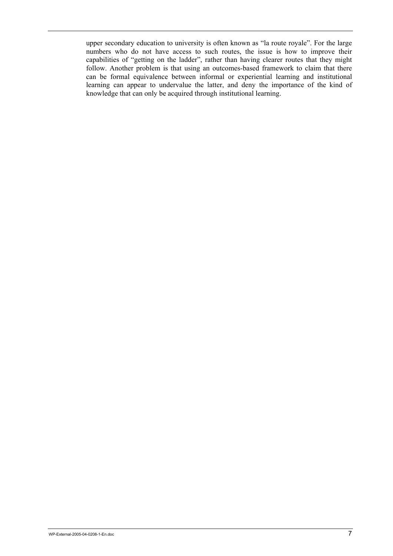upper secondary education to university is often known as "la route royale". For the large numbers who do not have access to such routes, the issue is how to improve their capabilities of "getting on the ladder", rather than having clearer routes that they might follow. Another problem is that using an outcomes-based framework to claim that there can be formal equivalence between informal or experiential learning and institutional learning can appear to undervalue the latter, and deny the importance of the kind of knowledge that can only be acquired through institutional learning.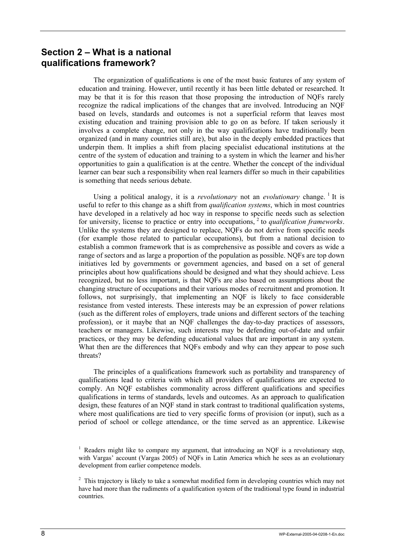## **Section 2 - What is a national qualifications framework?**

The organization of qualifications is one of the most basic features of any system of education and training. However, until recently it has been little debated or researched. It may be that it is for this reason that those proposing the introduction of NQFs rarely recognize the radical implications of the changes that are involved. Introducing an NQF based on levels, standards and outcomes is not a superficial reform that leaves most existing education and training provision able to go on as before. If taken seriously it involves a complete change, not only in the way qualifications have traditionally been organized (and in many countries still are), but also in the deeply embedded practices that underpin them. It implies a shift from placing specialist educational institutions at the centre of the system of education and training to a system in which the learner and his/her opportunities to gain a qualification is at the centre. Whether the concept of the individual learner can bear such a responsibility when real learners differ so much in their capabilities is something that needs serious debate.

Using a political analogy, it is a *revolutionary* not an *evolutionary* change. <sup>1</sup> It is useful to refer to this change as a shift from *qualification systems*, which in most countries have developed in a relatively ad hoc way in response to specific needs such as selection for university, license to practice or entry into occupations, <sup>2</sup> to *qualification frameworks*. Unlike the systems they are designed to replace, NQFs do not derive from specific needs (for example those related to particular occupations), but from a national decision to establish a common framework that is as comprehensive as possible and covers as wide a range of sectors and as large a proportion of the population as possible. NQFs are top down initiatives led by governments or government agencies, and based on a set of general principles about how qualifications should be designed and what they should achieve. Less recognized, but no less important, is that NQFs are also based on assumptions about the changing structure of occupations and their various modes of recruitment and promotion. It follows, not surprisingly, that implementing an NQF is likely to face considerable resistance from vested interests. These interests may be an expression of power relations (such as the different roles of employers, trade unions and different sectors of the teaching profession), or it maybe that an NQF challenges the day-to-day practices of assessors, teachers or managers. Likewise, such interests may be defending out-of-date and unfair practices, or they may be defending educational values that are important in any system. What then are the differences that NQFs embody and why can they appear to pose such threats?

The principles of a qualifications framework such as portability and transparency of qualifications lead to criteria with which all providers of qualifications are expected to comply. An NQF establishes commonality across different qualifications and specifies qualifications in terms of standards, levels and outcomes. As an approach to qualification design, these features of an NQF stand in stark contrast to traditional qualification systems, where most qualifications are tied to very specific forms of provision (or input), such as a period of school or college attendance, or the time served as an apprentice. Likewise

 $1$  Readers might like to compare my argument, that introducing an NQF is a revolutionary step, with Vargas' account (Vargas 2005) of NQFs in Latin America which he sees as an evolutionary development from earlier competence models.

 $2$  This trajectory is likely to take a somewhat modified form in developing countries which may not have had more than the rudiments of a qualification system of the traditional type found in industrial countries.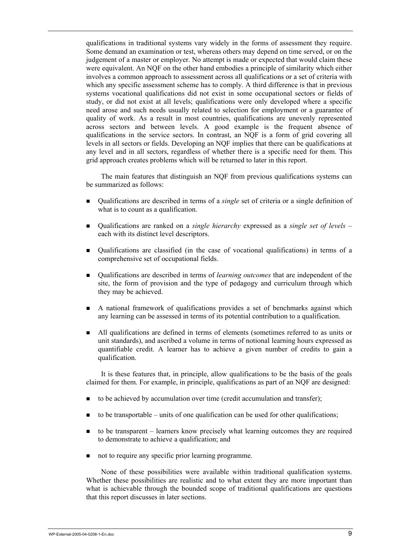qualifications in traditional systems vary widely in the forms of assessment they require. Some demand an examination or test, whereas others may depend on time served, or on the judgement of a master or employer. No attempt is made or expected that would claim these were equivalent. An NQF on the other hand embodies a principle of similarity which either involves a common approach to assessment across all qualifications or a set of criteria with which any specific assessment scheme has to comply. A third difference is that in previous systems vocational qualifications did not exist in some occupational sectors or fields of study, or did not exist at all levels; qualifications were only developed where a specific need arose and such needs usually related to selection for employment or a guarantee of quality of work. As a result in most countries, qualifications are unevenly represented across sectors and between levels. A good example is the frequent absence of qualifications in the service sectors. In contrast, an NQF is a form of grid covering all levels in all sectors or fields. Developing an NQF implies that there can be qualifications at any level and in all sectors, regardless of whether there is a specific need for them. This grid approach creates problems which will be returned to later in this report.

The main features that distinguish an NQF from previous qualifications systems can be summarized as follows:

- ! Qualifications are described in terms of a *single* set of criteria or a single definition of what is to count as a qualification.
- Qualifications are ranked on a *single hierarchy* expressed as a *single set of levels* each with its distinct level descriptors.
- ! Qualifications are classified (in the case of vocational qualifications) in terms of a comprehensive set of occupational fields.
- ! Qualifications are described in terms of *learning outcomes* that are independent of the site, the form of provision and the type of pedagogy and curriculum through which they may be achieved.
- ! A national framework of qualifications provides a set of benchmarks against which any learning can be assessed in terms of its potential contribution to a qualification.
- ! All qualifications are defined in terms of elements (sometimes referred to as units or unit standards), and ascribed a volume in terms of notional learning hours expressed as quantifiable credit. A learner has to achieve a given number of credits to gain a qualification.

It is these features that, in principle, allow qualifications to be the basis of the goals claimed for them. For example, in principle, qualifications as part of an NQF are designed:

- $\Box$  to be achieved by accumulation over time (credit accumulation and transfer);
- to be transportable  $-$  units of one qualification can be used for other qualifications;
- $\blacksquare$  to be transparent learners know precisely what learning outcomes they are required to demonstrate to achieve a qualification; and
- not to require any specific prior learning programme.

None of these possibilities were available within traditional qualification systems. Whether these possibilities are realistic and to what extent they are more important than what is achievable through the bounded scope of traditional qualifications are questions that this report discusses in later sections.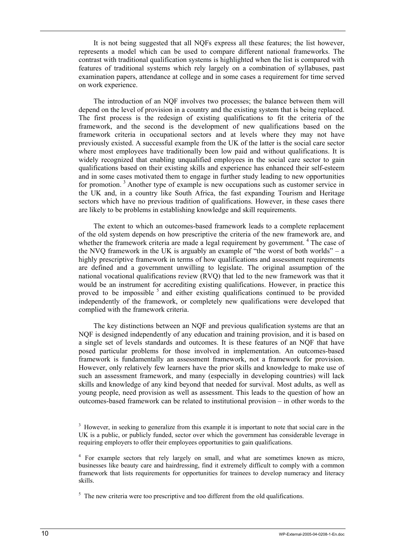It is not being suggested that all NQFs express all these features; the list however, represents a model which can be used to compare different national frameworks. The contrast with traditional qualification systems is highlighted when the list is compared with features of traditional systems which rely largely on a combination of syllabuses, past examination papers, attendance at college and in some cases a requirement for time served on work experience.

The introduction of an NQF involves two processes; the balance between them will depend on the level of provision in a country and the existing system that is being replaced. The first process is the redesign of existing qualifications to fit the criteria of the framework, and the second is the development of new qualifications based on the framework criteria in occupational sectors and at levels where they may not have previously existed. A successful example from the UK of the latter is the social care sector where most employees have traditionally been low paid and without qualifications. It is widely recognized that enabling unqualified employees in the social care sector to gain qualifications based on their existing skills and experience has enhanced their self-esteem and in some cases motivated them to engage in further study leading to new opportunities for promotion.<sup>3</sup> Another type of example is new occupations such as customer service in the UK and, in a country like South Africa, the fast expanding Tourism and Heritage sectors which have no previous tradition of qualifications. However, in these cases there are likely to be problems in establishing knowledge and skill requirements.

The extent to which an outcomes-based framework leads to a complete replacement of the old system depends on how prescriptive the criteria of the new framework are, and whether the framework criteria are made a legal requirement by government.<sup>4</sup> The case of the NVO framework in the UK is arguably an example of "the worst of both worlds" – a highly prescriptive framework in terms of how qualifications and assessment requirements are defined and a government unwilling to legislate. The original assumption of the national vocational qualifications review (RVQ) that led to the new framework was that it would be an instrument for accrediting existing qualifications. However, in practice this proved to be impossible  $5$  and either existing qualifications continued to be provided independently of the framework, or completely new qualifications were developed that complied with the framework criteria.

The key distinctions between an NQF and previous qualification systems are that an NQF is designed independently of any education and training provision, and it is based on a single set of levels standards and outcomes. It is these features of an NQF that have posed particular problems for those involved in implementation. An outcomes-based framework is fundamentally an assessment framework, not a framework for provision. However, only relatively few learners have the prior skills and knowledge to make use of such an assessment framework, and many (especially in developing countries) will lack skills and knowledge of any kind beyond that needed for survival. Most adults, as well as young people, need provision as well as assessment. This leads to the question of how an outcomes-based framework can be related to institutional provision  $-$  in other words to the

<sup>&</sup>lt;sup>3</sup> However, in seeking to generalize from this example it is important to note that social care in the UK is a public, or publicly funded, sector over which the government has considerable leverage in requiring employers to offer their employees opportunities to gain qualifications.

<sup>4</sup> For example sectors that rely largely on small, and what are sometimes known as micro, businesses like beauty care and hairdressing, find it extremely difficult to comply with a common framework that lists requirements for opportunities for trainees to develop numeracy and literacy skills.

 $5$  The new criteria were too prescriptive and too different from the old qualifications.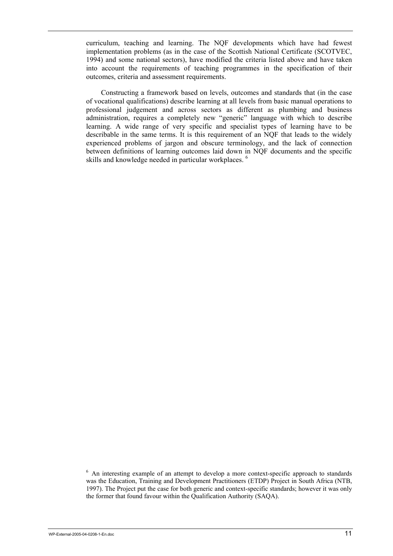curriculum, teaching and learning. The NQF developments which have had fewest implementation problems (as in the case of the Scottish National Certificate (SCOTVEC, 1994) and some national sectors), have modified the criteria listed above and have taken into account the requirements of teaching programmes in the specification of their outcomes, criteria and assessment requirements.

Constructing a framework based on levels, outcomes and standards that (in the case of vocational qualifications) describe learning at all levels from basic manual operations to professional judgement and across sectors as different as plumbing and business administration, requires a completely new "generic" language with which to describe learning. A wide range of very specific and specialist types of learning have to be describable in the same terms. It is this requirement of an NQF that leads to the widely experienced problems of jargon and obscure terminology, and the lack of connection between definitions of learning outcomes laid down in NQF documents and the specific skills and knowledge needed in particular workplaces. 6

<sup>&</sup>lt;sup>6</sup> An interesting example of an attempt to develop a more context-specific approach to standards was the Education, Training and Development Practitioners (ETDP) Project in South Africa (NTB, 1997). The Project put the case for both generic and context-specific standards; however it was only the former that found favour within the Qualification Authority (SAQA).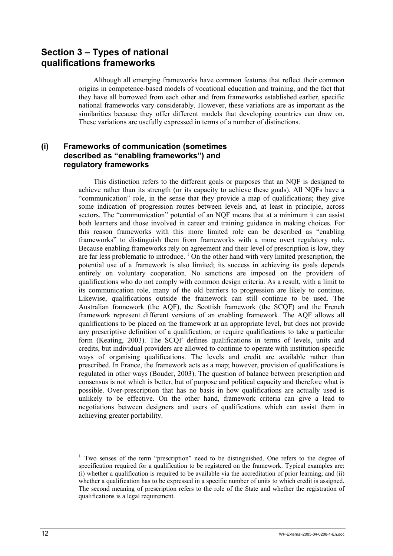## **Section 3 – Types of national qualifications frameworks**

Although all emerging frameworks have common features that reflect their common origins in competence-based models of vocational education and training, and the fact that they have all borrowed from each other and from frameworks established earlier, specific national frameworks vary considerably. However, these variations are as important as the similarities because they offer different models that developing countries can draw on. These variations are usefully expressed in terms of a number of distinctions.

## **(i) Frameworks of communication (sometimes**  described as "enabling frameworks") and **regulatory frameworks**

This distinction refers to the different goals or purposes that an NQF is designed to achieve rather than its strength (or its capacity to achieve these goals). All NQFs have a ìcommunicationî role, in the sense that they provide a map of qualifications; they give some indication of progression routes between levels and, at least in principle, across sectors. The "communication" potential of an NQF means that at a minimum it can assist both learners and those involved in career and training guidance in making choices. For this reason frameworks with this more limited role can be described as "enabling" frameworksî to distinguish them from frameworks with a more overt regulatory role. Because enabling frameworks rely on agreement and their level of prescription is low, they are far less problematic to introduce.  $\frac{1}{1}$  On the other hand with very limited prescription, the potential use of a framework is also limited; its success in achieving its goals depends entirely on voluntary cooperation. No sanctions are imposed on the providers of qualifications who do not comply with common design criteria. As a result, with a limit to its communication role, many of the old barriers to progression are likely to continue. Likewise, qualifications outside the framework can still continue to be used. The Australian framework (the AQF), the Scottish framework (the SCQF) and the French framework represent different versions of an enabling framework. The AQF allows all qualifications to be placed on the framework at an appropriate level, but does not provide any prescriptive definition of a qualification, or require qualifications to take a particular form (Keating, 2003). The SCQF defines qualifications in terms of levels, units and credits, but individual providers are allowed to continue to operate with institution-specific ways of organising qualifications. The levels and credit are available rather than prescribed. In France, the framework acts as a map; however, provision of qualifications is regulated in other ways (Bouder, 2003). The question of balance between prescription and consensus is not which is better, but of purpose and political capacity and therefore what is possible. Over-prescription that has no basis in how qualifications are actually used is unlikely to be effective. On the other hand, framework criteria can give a lead to negotiations between designers and users of qualifications which can assist them in achieving greater portability.

 $1$  Two senses of the term "prescription" need to be distinguished. One refers to the degree of specification required for a qualification to be registered on the framework. Typical examples are: (i) whether a qualification is required to be available via the accreditation of prior learning; and (ii) whether a qualification has to be expressed in a specific number of units to which credit is assigned. The second meaning of prescription refers to the role of the State and whether the registration of qualifications is a legal requirement.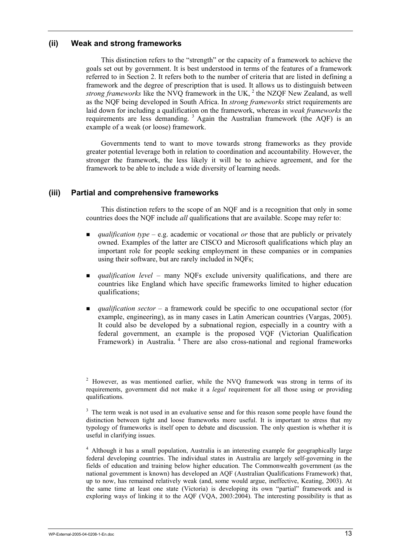### **(ii) Weak and strong frameworks**

This distinction refers to the "strength" or the capacity of a framework to achieve the goals set out by government. It is best understood in terms of the features of a framework referred to in Section 2. It refers both to the number of criteria that are listed in defining a framework and the degree of prescription that is used. It allows us to distinguish between *strong frameworks* like the NVQ framework in the UK,  $^2$  the NZQF New Zealand, as well as the NQF being developed in South Africa. In *strong frameworks* strict requirements are laid down for including a qualification on the framework, whereas in *weak frameworks* the requirements are less demanding.<sup>3</sup> Again the Australian framework (the AQF) is an example of a weak (or loose) framework.

Governments tend to want to move towards strong frameworks as they provide greater potential leverage both in relation to coordination and accountability. However, the stronger the framework, the less likely it will be to achieve agreement, and for the framework to be able to include a wide diversity of learning needs.

### **(iii) Partial and comprehensive frameworks**

This distinction refers to the scope of an NQF and is a recognition that only in some countries does the NQF include *all* qualifications that are available. Scope may refer to:

- $\Box$  *qualification type* e.g. academic or vocational *or* those that are publicly or privately owned. Examples of the latter are CISCO and Microsoft qualifications which play an important role for people seeking employment in these companies or in companies using their software, but are rarely included in NQFs;
- *qualification level* many NQFs exclude university qualifications, and there are countries like England which have specific frameworks limited to higher education qualifications;
- *qualification sector*  $-$  a framework could be specific to one occupational sector (for example, engineering), as in many cases in Latin American countries (Vargas, 2005). It could also be developed by a subnational region, especially in a country with a federal government, an example is the proposed VQF (Victorian Qualification Framework) in Australia.<sup>4</sup> There are also cross-national and regional frameworks

 $2$  However, as was mentioned earlier, while the NVQ framework was strong in terms of its requirements, government did not make it a *legal* requirement for all those using or providing qualifications.

<sup>&</sup>lt;sup>3</sup> The term weak is not used in an evaluative sense and for this reason some people have found the distinction between tight and loose frameworks more useful. It is important to stress that my typology of frameworks is itself open to debate and discussion. The only question is whether it is useful in clarifying issues.

<sup>&</sup>lt;sup>4</sup> Although it has a small population, Australia is an interesting example for geographically large federal developing countries. The individual states in Australia are largely self-governing in the fields of education and training below higher education. The Commonwealth government (as the national government is known) has developed an AQF (Australian Qualifications Framework) that, up to now, has remained relatively weak (and, some would argue, ineffective, Keating, 2003). At the same time at least one state (Victoria) is developing its own "partial" framework and is exploring ways of linking it to the AQF (VQA, 2003:2004). The interesting possibility is that as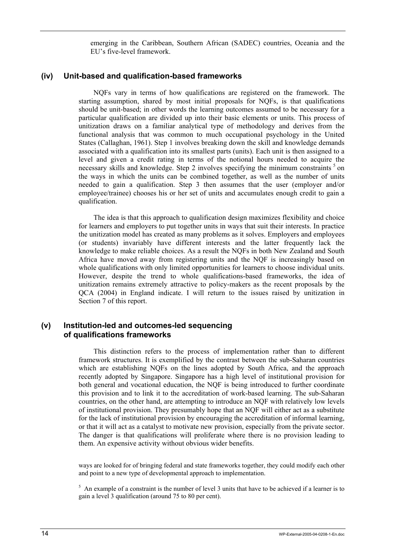emerging in the Caribbean, Southern African (SADEC) countries, Oceania and the EU's five-level framework.

### **(iv) Unit-based and qualification-based frameworks**

NQFs vary in terms of how qualifications are registered on the framework. The starting assumption, shared by most initial proposals for NQFs, is that qualifications should be unit-based; in other words the learning outcomes assumed to be necessary for a particular qualification are divided up into their basic elements or units. This process of unitization draws on a familiar analytical type of methodology and derives from the functional analysis that was common to much occupational psychology in the United States (Callaghan, 1961). Step 1 involves breaking down the skill and knowledge demands associated with a qualification into its smallest parts (units). Each unit is then assigned to a level and given a credit rating in terms of the notional hours needed to acquire the necessary skills and knowledge. Step 2 involves specifying the minimum constraints<sup>5</sup> on the ways in which the units can be combined together, as well as the number of units needed to gain a qualification. Step 3 then assumes that the user (employer and/or employee/trainee) chooses his or her set of units and accumulates enough credit to gain a qualification.

The idea is that this approach to qualification design maximizes flexibility and choice for learners and employers to put together units in ways that suit their interests. In practice the unitization model has created as many problems as it solves. Employers and employees (or students) invariably have different interests and the latter frequently lack the knowledge to make reliable choices. As a result the NQFs in both New Zealand and South Africa have moved away from registering units and the NQF is increasingly based on whole qualifications with only limited opportunities for learners to choose individual units. However, despite the trend to whole qualifications-based frameworks, the idea of unitization remains extremely attractive to policy-makers as the recent proposals by the QCA (2004) in England indicate. I will return to the issues raised by unitization in Section 7 of this report.

## **(v) Institution-led and outcomes-led sequencing of qualifications frameworks**

This distinction refers to the process of implementation rather than to different framework structures. It is exemplified by the contrast between the sub-Saharan countries which are establishing NQFs on the lines adopted by South Africa, and the approach recently adopted by Singapore. Singapore has a high level of institutional provision for both general and vocational education, the NQF is being introduced to further coordinate this provision and to link it to the accreditation of work-based learning. The sub-Saharan countries, on the other hand, are attempting to introduce an NQF with relatively low levels of institutional provision. They presumably hope that an NQF will either act as a substitute for the lack of institutional provision by encouraging the accreditation of informal learning, or that it will act as a catalyst to motivate new provision, especially from the private sector. The danger is that qualifications will proliferate where there is no provision leading to them. An expensive activity without obvious wider benefits.

ways are looked for of bringing federal and state frameworks together, they could modify each other and point to a new type of developmental approach to implementation.

<sup>5</sup> An example of a constraint is the number of level 3 units that have to be achieved if a learner is to gain a level 3 qualification (around 75 to 80 per cent).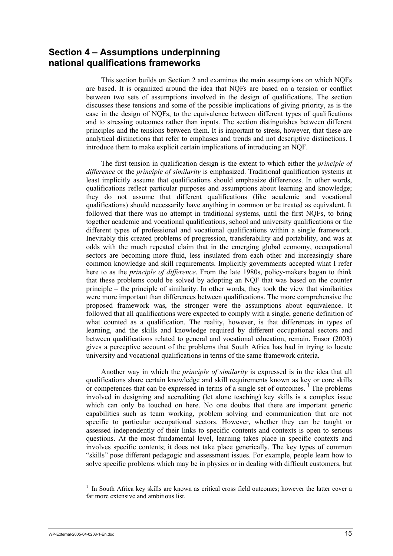## **Section 4 – Assumptions underpinning national qualifications frameworks**

This section builds on Section 2 and examines the main assumptions on which NQFs are based. It is organized around the idea that NQFs are based on a tension or conflict between two sets of assumptions involved in the design of qualifications. The section discusses these tensions and some of the possible implications of giving priority, as is the case in the design of NQFs, to the equivalence between different types of qualifications and to stressing outcomes rather than inputs. The section distinguishes between different principles and the tensions between them. It is important to stress, however, that these are analytical distinctions that refer to emphases and trends and not descriptive distinctions. I introduce them to make explicit certain implications of introducing an NQF.

The first tension in qualification design is the extent to which either the *principle of difference* or the *principle of similarity* is emphasized. Traditional qualification systems at least implicitly assume that qualifications should emphasize differences. In other words, qualifications reflect particular purposes and assumptions about learning and knowledge; they do not assume that different qualifications (like academic and vocational qualifications) should necessarily have anything in common or be treated as equivalent. It followed that there was no attempt in traditional systems, until the first NQFs, to bring together academic and vocational qualifications, school and university qualifications or the different types of professional and vocational qualifications within a single framework. Inevitably this created problems of progression, transferability and portability, and was at odds with the much repeated claim that in the emerging global economy, occupational sectors are becoming more fluid, less insulated from each other and increasingly share common knowledge and skill requirements. Implicitly governments accepted what I refer here to as the *principle of difference*. From the late 1980s, policy-makers began to think that these problems could be solved by adopting an NQF that was based on the counter principle  $-$  the principle of similarity. In other words, they took the view that similarities were more important than differences between qualifications. The more comprehensive the proposed framework was, the stronger were the assumptions about equivalence. It followed that all qualifications were expected to comply with a single, generic definition of what counted as a qualification. The reality, however, is that differences in types of learning, and the skills and knowledge required by different occupational sectors and between qualifications related to general and vocational education, remain. Ensor (2003) gives a perceptive account of the problems that South Africa has had in trying to locate university and vocational qualifications in terms of the same framework criteria.

Another way in which the *principle of similarity* is expressed is in the idea that all qualifications share certain knowledge and skill requirements known as key or core skills or competences that can be expressed in terms of a single set of outcomes.  $\frac{1}{1}$  The problems involved in designing and accrediting (let alone teaching) key skills is a complex issue which can only be touched on here. No one doubts that there are important generic capabilities such as team working, problem solving and communication that are not specific to particular occupational sectors. However, whether they can be taught or assessed independently of their links to specific contents and contexts is open to serious questions. At the most fundamental level, learning takes place in specific contexts and involves specific contents; it does not take place generically. The key types of common "skills" pose different pedagogic and assessment issues. For example, people learn how to solve specific problems which may be in physics or in dealing with difficult customers, but

<sup>&</sup>lt;sup>1</sup> In South Africa key skills are known as critical cross field outcomes; however the latter cover a far more extensive and ambitious list.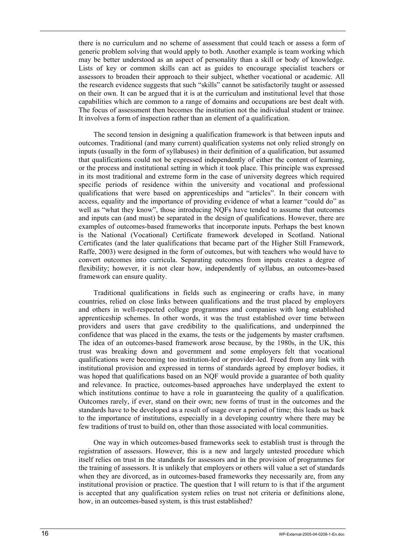there is no curriculum and no scheme of assessment that could teach or assess a form of generic problem solving that would apply to both. Another example is team working which may be better understood as an aspect of personality than a skill or body of knowledge. Lists of key or common skills can act as guides to encourage specialist teachers or assessors to broaden their approach to their subject, whether vocational or academic. All the research evidence suggests that such "skills" cannot be satisfactorily taught or assessed on their own. It can be argued that it is at the curriculum and institutional level that those capabilities which are common to a range of domains and occupations are best dealt with. The focus of assessment then becomes the institution not the individual student or trainee. It involves a form of inspection rather than an element of a qualification.

The second tension in designing a qualification framework is that between inputs and outcomes. Traditional (and many current) qualification systems not only relied strongly on inputs (usually in the form of syllabuses) in their definition of a qualification, but assumed that qualifications could not be expressed independently of either the content of learning, or the process and institutional setting in which it took place. This principle was expressed in its most traditional and extreme form in the case of university degrees which required specific periods of residence within the university and vocational and professional qualifications that were based on apprenticeships and "articles". In their concern with access, equality and the importance of providing evidence of what a learner "could do" as well as "what they know", those introducing NQFs have tended to assume that outcomes and inputs can (and must) be separated in the design of qualifications. However, there are examples of outcomes-based frameworks that incorporate inputs. Perhaps the best known is the National (Vocational) Certificate framework developed in Scotland. National Certificates (and the later qualifications that became part of the Higher Still Framework, Raffe, 2003) were designed in the form of outcomes, but with teachers who would have to convert outcomes into curricula. Separating outcomes from inputs creates a degree of flexibility; however, it is not clear how, independently of syllabus, an outcomes-based framework can ensure quality.

Traditional qualifications in fields such as engineering or crafts have, in many countries, relied on close links between qualifications and the trust placed by employers and others in well-respected college programmes and companies with long established apprenticeship schemes. In other words, it was the trust established over time between providers and users that gave credibility to the qualifications, and underpinned the confidence that was placed in the exams, the tests or the judgements by master craftsmen. The idea of an outcomes-based framework arose because, by the 1980s, in the UK, this trust was breaking down and government and some employers felt that vocational qualifications were becoming too institution-led or provider-led. Freed from any link with institutional provision and expressed in terms of standards agreed by employer bodies, it was hoped that qualifications based on an NQF would provide a guarantee of both quality and relevance. In practice, outcomes-based approaches have underplayed the extent to which institutions continue to have a role in guaranteeing the quality of a qualification. Outcomes rarely, if ever, stand on their own; new forms of trust in the outcomes and the standards have to be developed as a result of usage over a period of time; this leads us back to the importance of institutions, especially in a developing country where there may be few traditions of trust to build on, other than those associated with local communities.

One way in which outcomes-based frameworks seek to establish trust is through the registration of assessors. However, this is a new and largely untested procedure which itself relies on trust in the standards for assessors and in the provision of programmes for the training of assessors. It is unlikely that employers or others will value a set of standards when they are divorced, as in outcomes-based frameworks they necessarily are, from any institutional provision or practice. The question that I will return to is that if the argument is accepted that any qualification system relies on trust not criteria or definitions alone, how, in an outcomes-based system, is this trust established?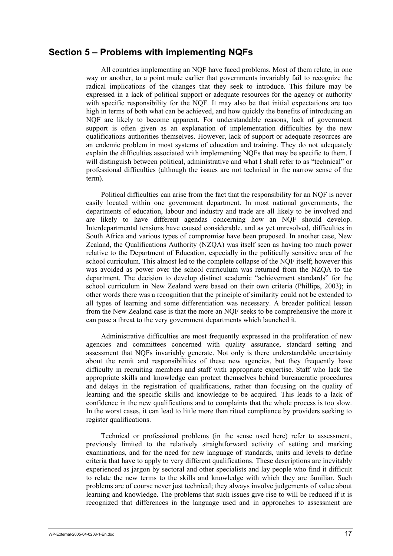## **Section 5 – Problems with implementing NQFs**

All countries implementing an NQF have faced problems. Most of them relate, in one way or another, to a point made earlier that governments invariably fail to recognize the radical implications of the changes that they seek to introduce. This failure may be expressed in a lack of political support or adequate resources for the agency or authority with specific responsibility for the NQF. It may also be that initial expectations are too high in terms of both what can be achieved, and how quickly the benefits of introducing an NQF are likely to become apparent. For understandable reasons, lack of government support is often given as an explanation of implementation difficulties by the new qualifications authorities themselves. However, lack of support or adequate resources are an endemic problem in most systems of education and training. They do not adequately explain the difficulties associated with implementing NQFs that may be specific to them. I will distinguish between political, administrative and what I shall refer to as "technical" or professional difficulties (although the issues are not technical in the narrow sense of the term).

Political difficulties can arise from the fact that the responsibility for an NQF is never easily located within one government department. In most national governments, the departments of education, labour and industry and trade are all likely to be involved and are likely to have different agendas concerning how an NQF should develop. Interdepartmental tensions have caused considerable, and as yet unresolved, difficulties in South Africa and various types of compromise have been proposed. In another case, New Zealand, the Qualifications Authority (NZQA) was itself seen as having too much power relative to the Department of Education, especially in the politically sensitive area of the school curriculum. This almost led to the complete collapse of the NQF itself; however this was avoided as power over the school curriculum was returned from the NZQA to the department. The decision to develop distinct academic "achievement standards" for the school curriculum in New Zealand were based on their own criteria (Phillips, 2003); in other words there was a recognition that the principle of similarity could not be extended to all types of learning and some differentiation was necessary. A broader political lesson from the New Zealand case is that the more an NQF seeks to be comprehensive the more it can pose a threat to the very government departments which launched it.

Administrative difficulties are most frequently expressed in the proliferation of new agencies and committees concerned with quality assurance, standard setting and assessment that NQFs invariably generate. Not only is there understandable uncertainty about the remit and responsibilities of these new agencies, but they frequently have difficulty in recruiting members and staff with appropriate expertise. Staff who lack the appropriate skills and knowledge can protect themselves behind bureaucratic procedures and delays in the registration of qualifications, rather than focusing on the quality of learning and the specific skills and knowledge to be acquired. This leads to a lack of confidence in the new qualifications and to complaints that the whole process is too slow. In the worst cases, it can lead to little more than ritual compliance by providers seeking to register qualifications.

Technical or professional problems (in the sense used here) refer to assessment, previously limited to the relatively straightforward activity of setting and marking examinations, and for the need for new language of standards, units and levels to define criteria that have to apply to very different qualifications. These descriptions are inevitably experienced as jargon by sectoral and other specialists and lay people who find it difficult to relate the new terms to the skills and knowledge with which they are familiar. Such problems are of course never just technical; they always involve judgements of value about learning and knowledge. The problems that such issues give rise to will be reduced if it is recognized that differences in the language used and in approaches to assessment are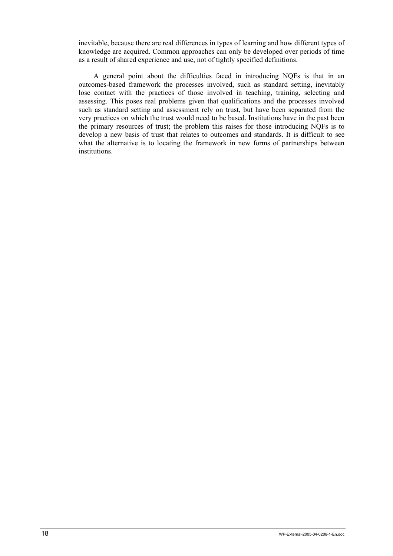inevitable, because there are real differences in types of learning and how different types of knowledge are acquired. Common approaches can only be developed over periods of time as a result of shared experience and use, not of tightly specified definitions.

A general point about the difficulties faced in introducing NQFs is that in an outcomes-based framework the processes involved, such as standard setting, inevitably lose contact with the practices of those involved in teaching, training, selecting and assessing. This poses real problems given that qualifications and the processes involved such as standard setting and assessment rely on trust, but have been separated from the very practices on which the trust would need to be based. Institutions have in the past been the primary resources of trust; the problem this raises for those introducing NQFs is to develop a new basis of trust that relates to outcomes and standards. It is difficult to see what the alternative is to locating the framework in new forms of partnerships between institutions.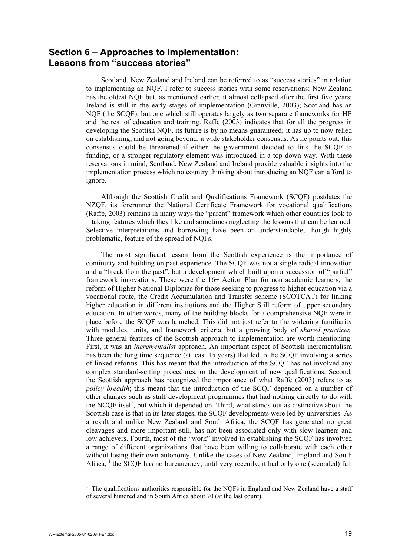## **Section 6 – Approaches to implementation: Lessons from "success stories"**

Scotland, New Zealand and Ireland can be referred to as "success stories" in relation to implementing an NQF. I refer to success stories with some reservations: New Zealand has the oldest NQF but, as mentioned earlier, it almost collapsed after the first five years; Ireland is still in the early stages of implementation (Granville, 2003); Scotland has an NQF (the SCQF), but one which still operates largely as two separate frameworks for HE and the rest of education and training. Raffe (2003) indicates that for all the progress in developing the Scottish NQF, its future is by no means guaranteed; it has up to now relied on establishing, and not going beyond, a wide stakeholder consensus. As he points out, this consensus could be threatened if either the government decided to link the SCQF to funding, or a stronger regulatory element was introduced in a top down way. With these reservations in mind, Scotland, New Zealand and Ireland provide valuable insights into the implementation process which no country thinking about introducing an NQF can afford to ignore.

Although the Scottish Credit and Qualifications Framework (SCQF) postdates the NZQF, its forerunner the National Certificate Framework for vocational qualifications (Raffe, 2003) remains in many ways the "parent" framework which other countries look to ñ taking features which they like and sometimes neglecting the lessons that can be learned. Selective interpretations and borrowing have been an understandable, though highly problematic, feature of the spread of NQFs.

The most significant lesson from the Scottish experience is the importance of continuity and building on past experience. The SCQF was not a single radical innovation and a "break from the past", but a development which built upon a succession of "partial" framework innovations. These were the 16+ Action Plan for non academic learners, the reform of Higher National Diplomas for those seeking to progress to higher education via a vocational route, the Credit Accumulation and Transfer scheme (SCOTCAT) for linking higher education in different institutions and the Higher Still reform of upper secondary education. In other words, many of the building blocks for a comprehensive NQF were in place before the SCQF was launched. This did not just refer to the widening familiarity with modules, units, and framework criteria, but a growing body of *shared practices*. Three general features of the Scottish approach to implementation are worth mentioning. First, it was an *incrementalist* approach. An important aspect of Scottish incrementalism has been the long time sequence (at least 15 years) that led to the SCQF involving a series of linked reforms. This has meant that the introduction of the SCQF has not involved any complex standard-setting procedures, or the development of new qualifications. Second, the Scottish approach has recognized the importance of what Raffe (2003) refers to as *policy breadth*; this meant that the introduction of the SCQF depended on a number of other changes such as staff development programmes that had nothing directly to do with the NCQF itself, but which it depended on. Third, what stands out as distinctive about the Scottish case is that in its later stages, the SCQF developments were led by universities. As a result and unlike New Zealand and South Africa, the SCQF has generated no great cleavages and more important still, has not been associated only with slow learners and low achievers. Fourth, most of the "work" involved in establishing the SCQF has involved a range of different organizations that have been willing to collaborate with each other without losing their own autonomy. Unlike the cases of New Zealand, England and South Africa,  $1$  the SCQF has no bureaucracy; until very recently, it had only one (seconded) full

 $<sup>1</sup>$  The qualifications authorities responsible for the NQFs in England and New Zealand have a staff</sup> of several hundred and in South Africa about 70 (at the last count).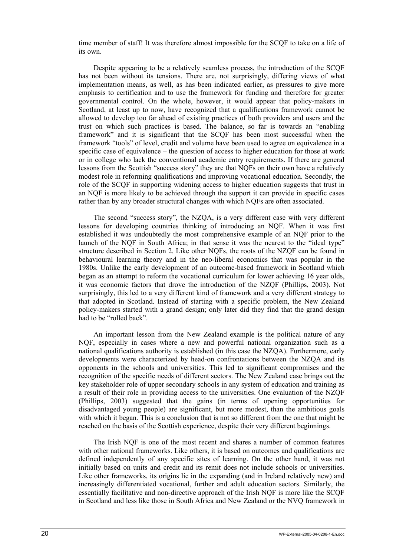time member of staff! It was therefore almost impossible for the SCQF to take on a life of its own.

Despite appearing to be a relatively seamless process, the introduction of the SCQF has not been without its tensions. There are, not surprisingly, differing views of what implementation means, as well, as has been indicated earlier, as pressures to give more emphasis to certification and to use the framework for funding and therefore for greater governmental control. On the whole, however, it would appear that policy-makers in Scotland, at least up to now, have recognized that a qualifications framework cannot be allowed to develop too far ahead of existing practices of both providers and users and the trust on which such practices is based. The balance, so far is towards an "enabling framework" and it is significant that the SCQF has been most successful when the framework "tools" of level, credit and volume have been used to agree on equivalence in a specific case of equivalence  $-$  the question of access to higher education for those at work or in college who lack the conventional academic entry requirements. If there are general lessons from the Scottish "success story" they are that NQFs on their own have a relatively modest role in reforming qualifications and improving vocational education. Secondly, the role of the SCQF in supporting widening access to higher education suggests that trust in an NQF is more likely to be achieved through the support it can provide in specific cases rather than by any broader structural changes with which NQFs are often associated.

The second "success story", the NZQA, is a very different case with very different lessons for developing countries thinking of introducing an NQF. When it was first established it was undoubtedly the most comprehensive example of an NQF prior to the launch of the NOF in South Africa; in that sense it was the nearest to the "ideal type" structure described in Section 2. Like other NQFs, the roots of the NZQF can be found in behavioural learning theory and in the neo-liberal economics that was popular in the 1980s. Unlike the early development of an outcome-based framework in Scotland which began as an attempt to reform the vocational curriculum for lower achieving 16 year olds, it was economic factors that drove the introduction of the NZQF (Phillips, 2003). Not surprisingly, this led to a very different kind of framework and a very different strategy to that adopted in Scotland. Instead of starting with a specific problem, the New Zealand policy-makers started with a grand design; only later did they find that the grand design had to be "rolled back".

An important lesson from the New Zealand example is the political nature of any NQF, especially in cases where a new and powerful national organization such as a national qualifications authority is established (in this case the NZQA). Furthermore, early developments were characterized by head-on confrontations between the NZQA and its opponents in the schools and universities. This led to significant compromises and the recognition of the specific needs of different sectors. The New Zealand case brings out the key stakeholder role of upper secondary schools in any system of education and training as a result of their role in providing access to the universities. One evaluation of the NZQF (Phillips, 2003) suggested that the gains (in terms of opening opportunities for disadvantaged young people) are significant, but more modest, than the ambitious goals with which it began. This is a conclusion that is not so different from the one that might be reached on the basis of the Scottish experience, despite their very different beginnings.

The Irish NQF is one of the most recent and shares a number of common features with other national frameworks. Like others, it is based on outcomes and qualifications are defined independently of any specific sites of learning. On the other hand, it was not initially based on units and credit and its remit does not include schools or universities. Like other frameworks, its origins lie in the expanding (and in Ireland relatively new) and increasingly differentiated vocational, further and adult education sectors. Similarly, the essentially facilitative and non-directive approach of the Irish NQF is more like the SCQF in Scotland and less like those in South Africa and New Zealand or the NVQ framework in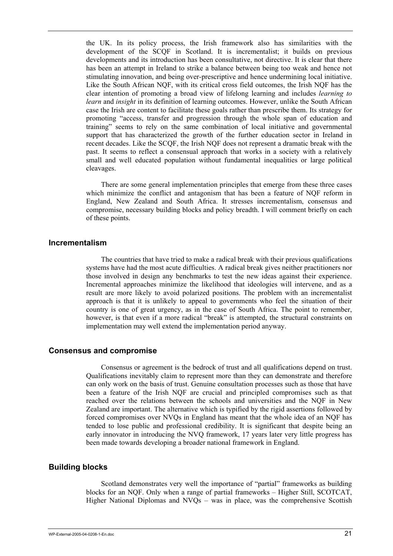the UK. In its policy process, the Irish framework also has similarities with the development of the SCQF in Scotland. It is incrementalist; it builds on previous developments and its introduction has been consultative, not directive. It is clear that there has been an attempt in Ireland to strike a balance between being too weak and hence not stimulating innovation, and being over-prescriptive and hence undermining local initiative. Like the South African NQF, with its critical cross field outcomes, the Irish NQF has the clear intention of promoting a broad view of lifelong learning and includes *learning to learn* and *insight* in its definition of learning outcomes. However, unlike the South African case the Irish are content to facilitate these goals rather than prescribe them. Its strategy for promoting "access, transfer and progression through the whole span of education and trainingî seems to rely on the same combination of local initiative and governmental support that has characterized the growth of the further education sector in Ireland in recent decades. Like the SCQF, the Irish NQF does not represent a dramatic break with the past. It seems to reflect a consensual approach that works in a society with a relatively small and well educated population without fundamental inequalities or large political cleavages.

There are some general implementation principles that emerge from these three cases which minimize the conflict and antagonism that has been a feature of NQF reform in England, New Zealand and South Africa. It stresses incrementalism, consensus and compromise, necessary building blocks and policy breadth. I will comment briefly on each of these points.

#### **Incrementalism**

The countries that have tried to make a radical break with their previous qualifications systems have had the most acute difficulties. A radical break gives neither practitioners nor those involved in design any benchmarks to test the new ideas against their experience. Incremental approaches minimize the likelihood that ideologies will intervene, and as a result are more likely to avoid polarized positions. The problem with an incrementalist approach is that it is unlikely to appeal to governments who feel the situation of their country is one of great urgency, as in the case of South Africa. The point to remember, however, is that even if a more radical "break" is attempted, the structural constraints on implementation may well extend the implementation period anyway.

#### **Consensus and compromise**

Consensus or agreement is the bedrock of trust and all qualifications depend on trust. Qualifications inevitably claim to represent more than they can demonstrate and therefore can only work on the basis of trust. Genuine consultation processes such as those that have been a feature of the Irish NQF are crucial and principled compromises such as that reached over the relations between the schools and universities and the NQF in New Zealand are important. The alternative which is typified by the rigid assertions followed by forced compromises over NVQs in England has meant that the whole idea of an NQF has tended to lose public and professional credibility. It is significant that despite being an early innovator in introducing the NVQ framework, 17 years later very little progress has been made towards developing a broader national framework in England.

#### **Building blocks**

Scotland demonstrates very well the importance of "partial" frameworks as building blocks for an NQF. Only when a range of partial frameworks  $-$  Higher Still, SCOTCAT, Higher National Diplomas and  $NVQs$  – was in place, was the comprehensive Scottish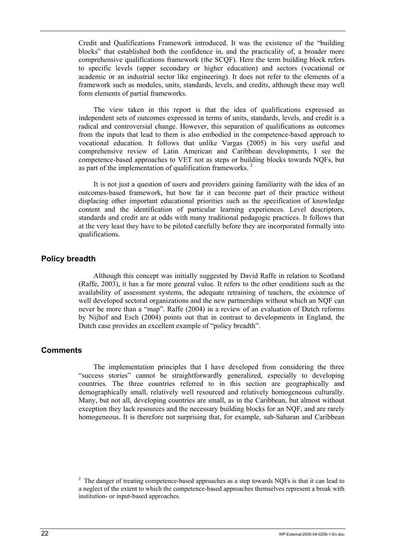Credit and Qualifications Framework introduced. It was the existence of the "building" blocks" that established both the confidence in, and the practicality of, a broader more comprehensive qualifications framework (the SCQF). Here the term building block refers to specific levels (upper secondary or higher education) and sectors (vocational or academic or an industrial sector like engineering). It does not refer to the elements of a framework such as modules, units, standards, levels, and credits, although these may well form elements of partial frameworks.

The view taken in this report is that the idea of qualifications expressed as independent sets of outcomes expressed in terms of units, standards, levels, and credit is a radical and controversial change. However, this separation of qualifications as outcomes from the inputs that lead to them is also embodied in the competence-based approach to vocational education. It follows that unlike Vargas (2005) in his very useful and comprehensive review of Latin American and Caribbean developments, I see the competence-based approaches to VET not as steps or building blocks towards NQFs, but as part of the implementation of qualification frameworks.<sup>2</sup>

It is not just a question of users and providers gaining familiarity with the idea of an outcomes-based framework, but how far it can become part of their practice without displacing other important educational priorities such as the specification of knowledge content and the identification of particular learning experiences. Level descriptors, standards and credit are at odds with many traditional pedagogic practices. It follows that at the very least they have to be piloted carefully before they are incorporated formally into qualifications.

### **Policy breadth**

Although this concept was initially suggested by David Raffe in relation to Scotland (Raffe, 2003), it has a far more general value. It refers to the other conditions such as the availability of assessment systems, the adequate retraining of teachers, the existence of well developed sectoral organizations and the new partnerships without which an NQF can never be more than a "map". Raffe  $(2004)$  in a review of an evaluation of Dutch reforms by Nijhof and Esch (2004) points out that in contrast to developments in England, the Dutch case provides an excellent example of "policy breadth".

#### **Comments**

The implementation principles that I have developed from considering the three ìsuccess storiesî cannot be straightforwardly generalized, especially to developing countries. The three countries referred to in this section are geographically and demographically small, relatively well resourced and relatively homogeneous culturally. Many, but not all, developing countries are small, as in the Caribbean, but almost without exception they lack resources and the necessary building blocks for an NQF, and are rarely homogeneous. It is therefore not surprising that, for example, sub-Saharan and Caribbean

 $2$  The danger of treating competence-based approaches as a step towards NQFs is that it can lead to a neglect of the extent to which the competence-based approaches themselves represent a break with institution- or input-based approaches.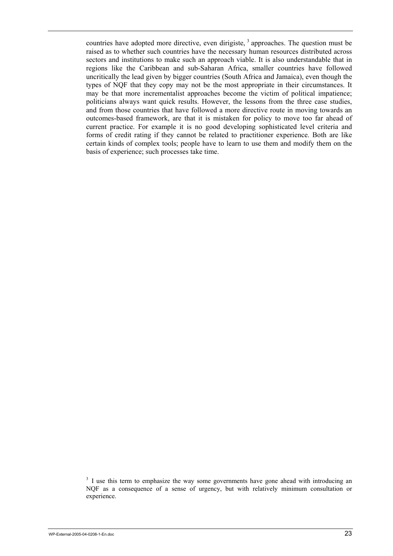countries have adopted more directive, even dirigiste,  $3$  approaches. The question must be raised as to whether such countries have the necessary human resources distributed across sectors and institutions to make such an approach viable. It is also understandable that in regions like the Caribbean and sub-Saharan Africa, smaller countries have followed uncritically the lead given by bigger countries (South Africa and Jamaica), even though the types of NQF that they copy may not be the most appropriate in their circumstances. It may be that more incrementalist approaches become the victim of political impatience; politicians always want quick results. However, the lessons from the three case studies, and from those countries that have followed a more directive route in moving towards an outcomes-based framework, are that it is mistaken for policy to move too far ahead of current practice. For example it is no good developing sophisticated level criteria and forms of credit rating if they cannot be related to practitioner experience. Both are like certain kinds of complex tools; people have to learn to use them and modify them on the basis of experience; such processes take time.

<sup>&</sup>lt;sup>3</sup> I use this term to emphasize the way some governments have gone ahead with introducing an NQF as a consequence of a sense of urgency, but with relatively minimum consultation or experience.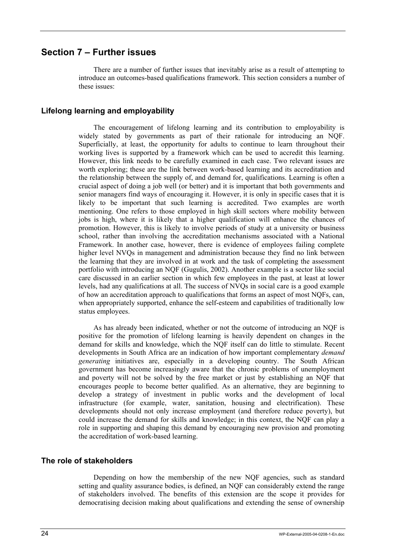## **Section 7 - Further issues**

There are a number of further issues that inevitably arise as a result of attempting to introduce an outcomes-based qualifications framework. This section considers a number of these issues:

### **Lifelong learning and employability**

The encouragement of lifelong learning and its contribution to employability is widely stated by governments as part of their rationale for introducing an NQF. Superficially, at least, the opportunity for adults to continue to learn throughout their working lives is supported by a framework which can be used to accredit this learning. However, this link needs to be carefully examined in each case. Two relevant issues are worth exploring; these are the link between work-based learning and its accreditation and the relationship between the supply of, and demand for, qualifications. Learning is often a crucial aspect of doing a job well (or better) and it is important that both governments and senior managers find ways of encouraging it. However, it is only in specific cases that it is likely to be important that such learning is accredited. Two examples are worth mentioning. One refers to those employed in high skill sectors where mobility between jobs is high, where it is likely that a higher qualification will enhance the chances of promotion. However, this is likely to involve periods of study at a university or business school, rather than involving the accreditation mechanisms associated with a National Framework. In another case, however, there is evidence of employees failing complete higher level NVQs in management and administration because they find no link between the learning that they are involved in at work and the task of completing the assessment portfolio with introducing an NQF (Gugulis, 2002). Another example is a sector like social care discussed in an earlier section in which few employees in the past, at least at lower levels, had any qualifications at all. The success of NVQs in social care is a good example of how an accreditation approach to qualifications that forms an aspect of most NQFs, can, when appropriately supported, enhance the self-esteem and capabilities of traditionally low status employees.

As has already been indicated, whether or not the outcome of introducing an NQF is positive for the promotion of lifelong learning is heavily dependent on changes in the demand for skills and knowledge, which the NQF itself can do little to stimulate. Recent developments in South Africa are an indication of how important complementary *demand generating* initiatives are, especially in a developing country. The South African government has become increasingly aware that the chronic problems of unemployment and poverty will not be solved by the free market or just by establishing an NQF that encourages people to become better qualified. As an alternative, they are beginning to develop a strategy of investment in public works and the development of local infrastructure (for example, water, sanitation, housing and electrification). These developments should not only increase employment (and therefore reduce poverty), but could increase the demand for skills and knowledge; in this context, the NQF can play a role in supporting and shaping this demand by encouraging new provision and promoting the accreditation of work-based learning.

### **The role of stakeholders**

Depending on how the membership of the new NQF agencies, such as standard setting and quality assurance bodies, is defined, an NQF can considerably extend the range of stakeholders involved. The benefits of this extension are the scope it provides for democratising decision making about qualifications and extending the sense of ownership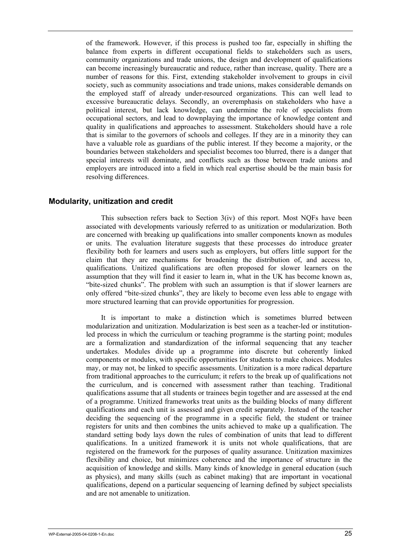of the framework. However, if this process is pushed too far, especially in shifting the balance from experts in different occupational fields to stakeholders such as users, community organizations and trade unions, the design and development of qualifications can become increasingly bureaucratic and reduce, rather than increase, quality. There are a number of reasons for this. First, extending stakeholder involvement to groups in civil society, such as community associations and trade unions, makes considerable demands on the employed staff of already under-resourced organizations. This can well lead to excessive bureaucratic delays. Secondly, an overemphasis on stakeholders who have a political interest, but lack knowledge, can undermine the role of specialists from occupational sectors, and lead to downplaying the importance of knowledge content and quality in qualifications and approaches to assessment. Stakeholders should have a role that is similar to the governors of schools and colleges. If they are in a minority they can have a valuable role as guardians of the public interest. If they become a majority, or the boundaries between stakeholders and specialist becomes too blurred, there is a danger that special interests will dominate, and conflicts such as those between trade unions and employers are introduced into a field in which real expertise should be the main basis for resolving differences.

### **Modularity, unitization and credit**

This subsection refers back to Section 3(iv) of this report. Most NQFs have been associated with developments variously referred to as unitization or modularization. Both are concerned with breaking up qualifications into smaller components known as modules or units. The evaluation literature suggests that these processes do introduce greater flexibility both for learners and users such as employers, but offers little support for the claim that they are mechanisms for broadening the distribution of, and access to, qualifications. Unitized qualifications are often proposed for slower learners on the assumption that they will find it easier to learn in, what in the UK has become known as, "bite-sized chunks". The problem with such an assumption is that if slower learners are only offered "bite-sized chunks", they are likely to become even less able to engage with more structured learning that can provide opportunities for progression.

It is important to make a distinction which is sometimes blurred between modularization and unitization. Modularization is best seen as a teacher-led or institutionled process in which the curriculum or teaching programme is the starting point; modules are a formalization and standardization of the informal sequencing that any teacher undertakes. Modules divide up a programme into discrete but coherently linked components or modules, with specific opportunities for students to make choices. Modules may, or may not, be linked to specific assessments. Unitization is a more radical departure from traditional approaches to the curriculum; it refers to the break up of qualifications not the curriculum, and is concerned with assessment rather than teaching. Traditional qualifications assume that all students or trainees begin together and are assessed at the end of a programme. Unitized frameworks treat units as the building blocks of many different qualifications and each unit is assessed and given credit separately. Instead of the teacher deciding the sequencing of the programme in a specific field, the student or trainee registers for units and then combines the units achieved to make up a qualification. The standard setting body lays down the rules of combination of units that lead to different qualifications. In a unitized framework it is units not whole qualifications, that are registered on the framework for the purposes of quality assurance. Unitization maximizes flexibility and choice, but minimizes coherence and the importance of structure in the acquisition of knowledge and skills. Many kinds of knowledge in general education (such as physics), and many skills (such as cabinet making) that are important in vocational qualifications, depend on a particular sequencing of learning defined by subject specialists and are not amenable to unitization.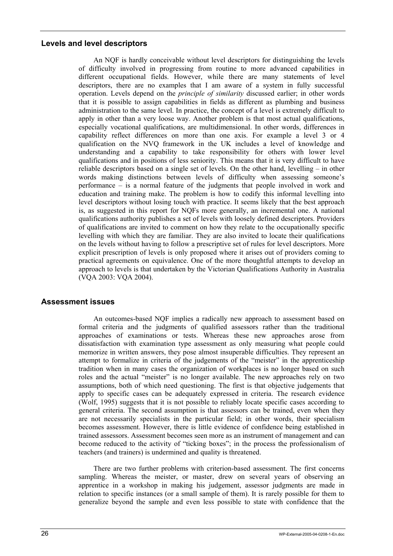## **Levels and level descriptors**

An NQF is hardly conceivable without level descriptors for distinguishing the levels of difficulty involved in progressing from routine to more advanced capabilities in different occupational fields. However, while there are many statements of level descriptors, there are no examples that I am aware of a system in fully successful operation. Levels depend on the *principle of similarity* discussed earlier; in other words that it is possible to assign capabilities in fields as different as plumbing and business administration to the same level. In practice, the concept of a level is extremely difficult to apply in other than a very loose way. Another problem is that most actual qualifications, especially vocational qualifications, are multidimensional. In other words, differences in capability reflect differences on more than one axis. For example a level 3 or 4 qualification on the NVQ framework in the UK includes a level of knowledge and understanding and a capability to take responsibility for others with lower level qualifications and in positions of less seniority. This means that it is very difficult to have reliable descriptors based on a single set of levels. On the other hand, levelling  $-$  in other words making distinctions between levels of difficulty when assessing someone's performance  $\overline{-}$  is a normal feature of the judgments that people involved in work and education and training make. The problem is how to codify this informal levelling into level descriptors without losing touch with practice. It seems likely that the best approach is, as suggested in this report for NQFs more generally, an incremental one. A national qualifications authority publishes a set of levels with loosely defined descriptors. Providers of qualifications are invited to comment on how they relate to the occupationally specific levelling with which they are familiar. They are also invited to locate their qualifications on the levels without having to follow a prescriptive set of rules for level descriptors. More explicit prescription of levels is only proposed where it arises out of providers coming to practical agreements on equivalence. One of the more thoughtful attempts to develop an approach to levels is that undertaken by the Victorian Qualifications Authority in Australia (VQA 2003: VQA 2004).

### **Assessment issues**

An outcomes-based NQF implies a radically new approach to assessment based on formal criteria and the judgments of qualified assessors rather than the traditional approaches of examinations or tests. Whereas these new approaches arose from dissatisfaction with examination type assessment as only measuring what people could memorize in written answers, they pose almost insuperable difficulties. They represent an attempt to formalize in criteria of the judgements of the "meister" in the apprenticeship tradition when in many cases the organization of workplaces is no longer based on such roles and the actual "meister" is no longer available. The new approaches rely on two assumptions, both of which need questioning. The first is that objective judgements that apply to specific cases can be adequately expressed in criteria. The research evidence (Wolf, 1995) suggests that it is not possible to reliably locate specific cases according to general criteria. The second assumption is that assessors can be trained, even when they are not necessarily specialists in the particular field; in other words, their specialism becomes assessment. However, there is little evidence of confidence being established in trained assessors. Assessment becomes seen more as an instrument of management and can become reduced to the activity of "ticking boxes"; in the process the professionalism of teachers (and trainers) is undermined and quality is threatened.

There are two further problems with criterion-based assessment. The first concerns sampling. Whereas the meister, or master, drew on several years of observing an apprentice in a workshop in making his judgement, assessor judgments are made in relation to specific instances (or a small sample of them). It is rarely possible for them to generalize beyond the sample and even less possible to state with confidence that the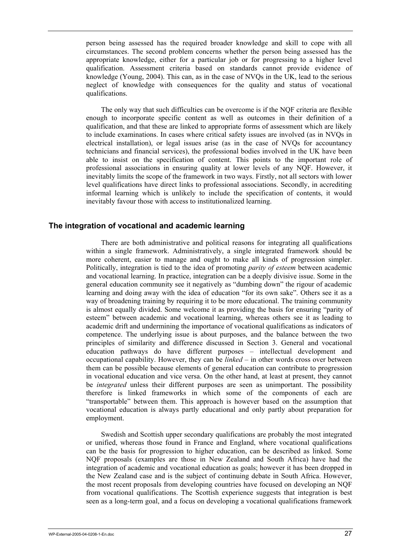person being assessed has the required broader knowledge and skill to cope with all circumstances. The second problem concerns whether the person being assessed has the appropriate knowledge, either for a particular job or for progressing to a higher level qualification. Assessment criteria based on standards cannot provide evidence of knowledge (Young, 2004). This can, as in the case of NVQs in the UK, lead to the serious neglect of knowledge with consequences for the quality and status of vocational qualifications.

The only way that such difficulties can be overcome is if the NQF criteria are flexible enough to incorporate specific content as well as outcomes in their definition of a qualification, and that these are linked to appropriate forms of assessment which are likely to include examinations. In cases where critical safety issues are involved (as in NVQs in electrical installation), or legal issues arise (as in the case of NVQs for accountancy technicians and financial services), the professional bodies involved in the UK have been able to insist on the specification of content. This points to the important role of professional associations in ensuring quality at lower levels of any NQF. However, it inevitably limits the scope of the framework in two ways. Firstly, not all sectors with lower level qualifications have direct links to professional associations. Secondly, in accrediting informal learning which is unlikely to include the specification of contents, it would inevitably favour those with access to institutionalized learning.

#### **The integration of vocational and academic learning**

There are both administrative and political reasons for integrating all qualifications within a single framework. Administratively, a single integrated framework should be more coherent, easier to manage and ought to make all kinds of progression simpler. Politically, integration is tied to the idea of promoting *parity of esteem* between academic and vocational learning. In practice, integration can be a deeply divisive issue. Some in the general education community see it negatively as "dumbing down" the rigour of academic learning and doing away with the idea of education "for its own sake". Others see it as a way of broadening training by requiring it to be more educational. The training community is almost equally divided. Some welcome it as providing the basis for ensuring "parity of esteemî between academic and vocational learning, whereas others see it as leading to academic drift and undermining the importance of vocational qualifications as indicators of competence. The underlying issue is about purposes, and the balance between the two principles of similarity and difference discussed in Section 3. General and vocational education pathways do have different purposes – intellectual development and occupational capability. However, they can be *linked* – in other words cross over between them can be possible because elements of general education can contribute to progression in vocational education and vice versa. On the other hand, at least at present, they cannot be *integrated* unless their different purposes are seen as unimportant. The possibility therefore is linked frameworks in which some of the components of each are ìtransportableî between them. This approach is however based on the assumption that vocational education is always partly educational and only partly about preparation for employment.

Swedish and Scottish upper secondary qualifications are probably the most integrated or unified, whereas those found in France and England, where vocational qualifications can be the basis for progression to higher education, can be described as linked. Some NQF proposals (examples are those in New Zealand and South Africa) have had the integration of academic and vocational education as goals; however it has been dropped in the New Zealand case and is the subject of continuing debate in South Africa. However, the most recent proposals from developing countries have focused on developing an NQF from vocational qualifications. The Scottish experience suggests that integration is best seen as a long-term goal, and a focus on developing a vocational qualifications framework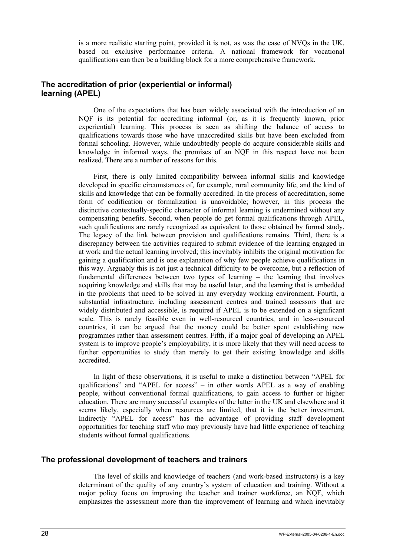is a more realistic starting point, provided it is not, as was the case of NVQs in the UK, based on exclusive performance criteria. A national framework for vocational qualifications can then be a building block for a more comprehensive framework.

## **The accreditation of prior (experiential or informal) learning (APEL)**

One of the expectations that has been widely associated with the introduction of an NQF is its potential for accrediting informal (or, as it is frequently known, prior experiential) learning. This process is seen as shifting the balance of access to qualifications towards those who have unaccredited skills but have been excluded from formal schooling. However, while undoubtedly people do acquire considerable skills and knowledge in informal ways, the promises of an NQF in this respect have not been realized. There are a number of reasons for this.

First, there is only limited compatibility between informal skills and knowledge developed in specific circumstances of, for example, rural community life, and the kind of skills and knowledge that can be formally accredited. In the process of accreditation, some form of codification or formalization is unavoidable; however, in this process the distinctive contextually-specific character of informal learning is undermined without any compensating benefits. Second, when people do get formal qualifications through APEL, such qualifications are rarely recognized as equivalent to those obtained by formal study. The legacy of the link between provision and qualifications remains. Third, there is a discrepancy between the activities required to submit evidence of the learning engaged in at work and the actual learning involved; this inevitably inhibits the original motivation for gaining a qualification and is one explanation of why few people achieve qualifications in this way. Arguably this is not just a technical difficulty to be overcome, but a reflection of fundamental differences between two types of learning  $-$  the learning that involves acquiring knowledge and skills that may be useful later, and the learning that is embedded in the problems that need to be solved in any everyday working environment. Fourth, a substantial infrastructure, including assessment centres and trained assessors that are widely distributed and accessible, is required if APEL is to be extended on a significant scale. This is rarely feasible even in well-resourced countries, and in less-resourced countries, it can be argued that the money could be better spent establishing new programmes rather than assessment centres. Fifth, if a major goal of developing an APEL system is to improve people's employability, it is more likely that they will need access to further opportunities to study than merely to get their existing knowledge and skills accredited.

In light of these observations, it is useful to make a distinction between "APEL for qualifications" and "APEL for access"  $-$  in other words APEL as a way of enabling people, without conventional formal qualifications, to gain access to further or higher education. There are many successful examples of the latter in the UK and elsewhere and it seems likely, especially when resources are limited, that it is the better investment. Indirectly "APEL for access" has the advantage of providing staff development opportunities for teaching staff who may previously have had little experience of teaching students without formal qualifications.

### **The professional development of teachers and trainers**

The level of skills and knowledge of teachers (and work-based instructors) is a key determinant of the quality of any country's system of education and training. Without a major policy focus on improving the teacher and trainer workforce, an NQF, which emphasizes the assessment more than the improvement of learning and which inevitably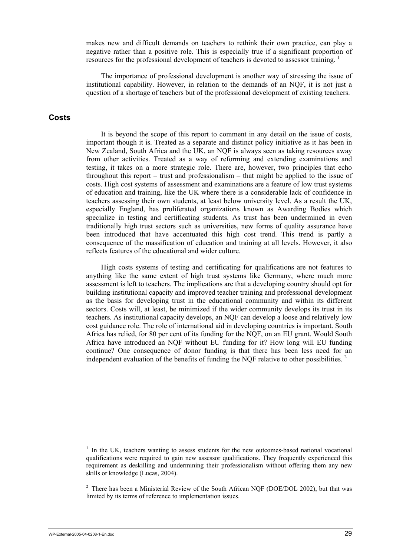makes new and difficult demands on teachers to rethink their own practice, can play a negative rather than a positive role. This is especially true if a significant proportion of resources for the professional development of teachers is devoted to assessor training.<sup>1</sup>

The importance of professional development is another way of stressing the issue of institutional capability. However, in relation to the demands of an NQF, it is not just a question of a shortage of teachers but of the professional development of existing teachers.

#### **Costs**

It is beyond the scope of this report to comment in any detail on the issue of costs, important though it is. Treated as a separate and distinct policy initiative as it has been in New Zealand, South Africa and the UK, an NQF is always seen as taking resources away from other activities. Treated as a way of reforming and extending examinations and testing, it takes on a more strategic role. There are, however, two principles that echo throughout this report – trust and professionalism – that might be applied to the issue of costs. High cost systems of assessment and examinations are a feature of low trust systems of education and training, like the UK where there is a considerable lack of confidence in teachers assessing their own students, at least below university level. As a result the UK, especially England, has proliferated organizations known as Awarding Bodies which specialize in testing and certificating students. As trust has been undermined in even traditionally high trust sectors such as universities, new forms of quality assurance have been introduced that have accentuated this high cost trend. This trend is partly a consequence of the massification of education and training at all levels. However, it also reflects features of the educational and wider culture.

High costs systems of testing and certificating for qualifications are not features to anything like the same extent of high trust systems like Germany, where much more assessment is left to teachers. The implications are that a developing country should opt for building institutional capacity and improved teacher training and professional development as the basis for developing trust in the educational community and within its different sectors. Costs will, at least, be minimized if the wider community develops its trust in its teachers. As institutional capacity develops, an NQF can develop a loose and relatively low cost guidance role. The role of international aid in developing countries is important. South Africa has relied, for 80 per cent of its funding for the NQF, on an EU grant. Would South Africa have introduced an NQF without EU funding for it? How long will EU funding continue? One consequence of donor funding is that there has been less need for an independent evaluation of the benefits of funding the NOF relative to other possibilities.  $2\frac{1}{2}$ 

<sup>&</sup>lt;sup>1</sup> In the UK, teachers wanting to assess students for the new outcomes-based national vocational qualifications were required to gain new assessor qualifications. They frequently experienced this requirement as deskilling and undermining their professionalism without offering them any new skills or knowledge (Lucas, 2004).

<sup>&</sup>lt;sup>2</sup> There has been a Ministerial Review of the South African NQF (DOE/DOL 2002), but that was limited by its terms of reference to implementation issues.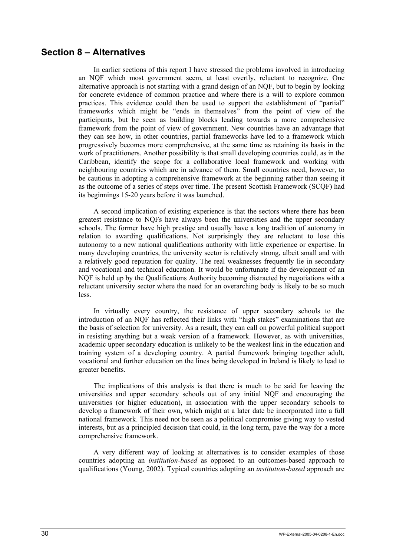## **Section 8 - Alternatives**

In earlier sections of this report I have stressed the problems involved in introducing an NQF which most government seem, at least overtly, reluctant to recognize. One alternative approach is not starting with a grand design of an NQF, but to begin by looking for concrete evidence of common practice and where there is a will to explore common practices. This evidence could then be used to support the establishment of "partial" frameworks which might be "ends in themselves" from the point of view of the participants, but be seen as building blocks leading towards a more comprehensive framework from the point of view of government. New countries have an advantage that they can see how, in other countries, partial frameworks have led to a framework which progressively becomes more comprehensive, at the same time as retaining its basis in the work of practitioners. Another possibility is that small developing countries could, as in the Caribbean, identify the scope for a collaborative local framework and working with neighbouring countries which are in advance of them. Small countries need, however, to be cautious in adopting a comprehensive framework at the beginning rather than seeing it as the outcome of a series of steps over time. The present Scottish Framework (SCQF) had its beginnings 15-20 years before it was launched.

A second implication of existing experience is that the sectors where there has been greatest resistance to NQFs have always been the universities and the upper secondary schools. The former have high prestige and usually have a long tradition of autonomy in relation to awarding qualifications. Not surprisingly they are reluctant to lose this autonomy to a new national qualifications authority with little experience or expertise. In many developing countries, the university sector is relatively strong, albeit small and with a relatively good reputation for quality. The real weaknesses frequently lie in secondary and vocational and technical education. It would be unfortunate if the development of an NQF is held up by the Qualifications Authority becoming distracted by negotiations with a reluctant university sector where the need for an overarching body is likely to be so much less.

In virtually every country, the resistance of upper secondary schools to the introduction of an NQF has reflected their links with "high stakes" examinations that are the basis of selection for university. As a result, they can call on powerful political support in resisting anything but a weak version of a framework. However, as with universities, academic upper secondary education is unlikely to be the weakest link in the education and training system of a developing country. A partial framework bringing together adult, vocational and further education on the lines being developed in Ireland is likely to lead to greater benefits.

The implications of this analysis is that there is much to be said for leaving the universities and upper secondary schools out of any initial NQF and encouraging the universities (or higher education), in association with the upper secondary schools to develop a framework of their own, which might at a later date be incorporated into a full national framework. This need not be seen as a political compromise giving way to vested interests, but as a principled decision that could, in the long term, pave the way for a more comprehensive framework.

A very different way of looking at alternatives is to consider examples of those countries adopting an *institution-based* as opposed to an outcomes-based approach to qualifications (Young, 2002). Typical countries adopting an *institution-based* approach are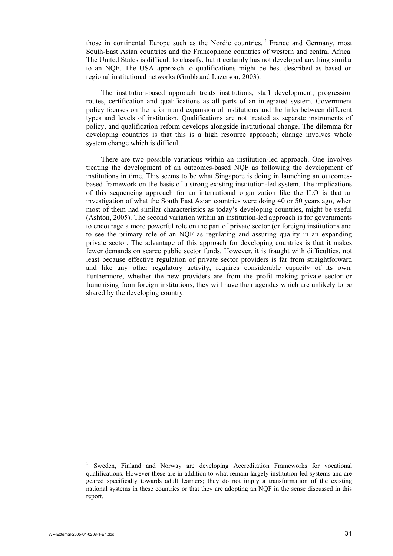those in continental Europe such as the Nordic countries, <sup>1</sup> France and Germany, most South-East Asian countries and the Francophone countries of western and central Africa. The United States is difficult to classify, but it certainly has not developed anything similar to an NQF. The USA approach to qualifications might be best described as based on regional institutional networks (Grubb and Lazerson, 2003).

The institution-based approach treats institutions, staff development, progression routes, certification and qualifications as all parts of an integrated system. Government policy focuses on the reform and expansion of institutions and the links between different types and levels of institution. Qualifications are not treated as separate instruments of policy, and qualification reform develops alongside institutional change. The dilemma for developing countries is that this is a high resource approach; change involves whole system change which is difficult.

There are two possible variations within an institution-led approach. One involves treating the development of an outcomes-based NQF as following the development of institutions in time. This seems to be what Singapore is doing in launching an outcomesbased framework on the basis of a strong existing institution-led system. The implications of this sequencing approach for an international organization like the ILO is that an investigation of what the South East Asian countries were doing 40 or 50 years ago, when most of them had similar characteristics as today's developing countries, might be useful (Ashton, 2005). The second variation within an institution-led approach is for governments to encourage a more powerful role on the part of private sector (or foreign) institutions and to see the primary role of an NQF as regulating and assuring quality in an expanding private sector. The advantage of this approach for developing countries is that it makes fewer demands on scarce public sector funds. However, it is fraught with difficulties, not least because effective regulation of private sector providers is far from straightforward and like any other regulatory activity, requires considerable capacity of its own. Furthermore, whether the new providers are from the profit making private sector or franchising from foreign institutions, they will have their agendas which are unlikely to be shared by the developing country.

<sup>&</sup>lt;sup>1</sup> Sweden, Finland and Norway are developing Accreditation Frameworks for vocational qualifications. However these are in addition to what remain largely institution-led systems and are geared specifically towards adult learners; they do not imply a transformation of the existing national systems in these countries or that they are adopting an NQF in the sense discussed in this report.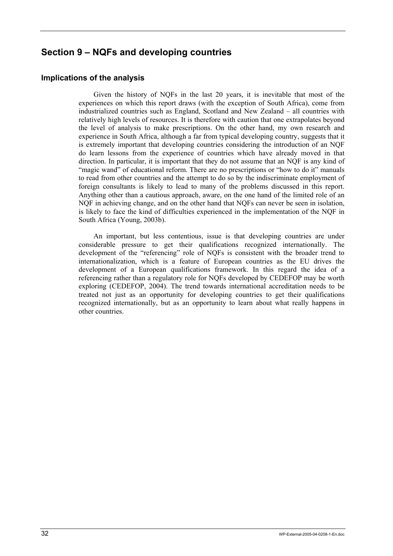## **Section 9 – NQFs and developing countries**

## **Implications of the analysis**

Given the history of NQFs in the last 20 years, it is inevitable that most of the experiences on which this report draws (with the exception of South Africa), come from industrialized countries such as England, Scotland and New Zealand - all countries with relatively high levels of resources. It is therefore with caution that one extrapolates beyond the level of analysis to make prescriptions. On the other hand, my own research and experience in South Africa, although a far from typical developing country, suggests that it is extremely important that developing countries considering the introduction of an NQF do learn lessons from the experience of countries which have already moved in that direction. In particular, it is important that they do not assume that an NQF is any kind of "magic wand" of educational reform. There are no prescriptions or "how to do it" manuals to read from other countries and the attempt to do so by the indiscriminate employment of foreign consultants is likely to lead to many of the problems discussed in this report. Anything other than a cautious approach, aware, on the one hand of the limited role of an NQF in achieving change, and on the other hand that NQFs can never be seen in isolation, is likely to face the kind of difficulties experienced in the implementation of the NQF in South Africa (Young, 2003b).

An important, but less contentious, issue is that developing countries are under considerable pressure to get their qualifications recognized internationally. The development of the "referencing" role of NQFs is consistent with the broader trend to internationalization, which is a feature of European countries as the EU drives the development of a European qualifications framework. In this regard the idea of a referencing rather than a regulatory role for NQFs developed by CEDEFOP may be worth exploring (CEDEFOP, 2004). The trend towards international accreditation needs to be treated not just as an opportunity for developing countries to get their qualifications recognized internationally, but as an opportunity to learn about what really happens in other countries.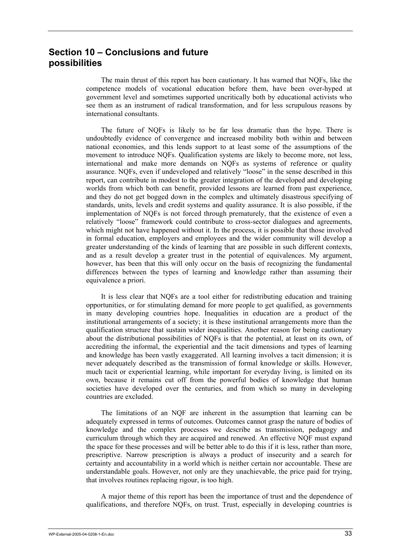## **Section 10 - Conclusions and future possibilities**

The main thrust of this report has been cautionary. It has warned that NQFs, like the competence models of vocational education before them, have been over-hyped at government level and sometimes supported uncritically both by educational activists who see them as an instrument of radical transformation, and for less scrupulous reasons by international consultants.

The future of NQFs is likely to be far less dramatic than the hype. There is undoubtedly evidence of convergence and increased mobility both within and between national economies, and this lends support to at least some of the assumptions of the movement to introduce NQFs. Qualification systems are likely to become more, not less, international and make more demands on NQFs as systems of reference or quality assurance. NQFs, even if undeveloped and relatively "loose" in the sense described in this report, can contribute in modest to the greater integration of the developed and developing worlds from which both can benefit, provided lessons are learned from past experience, and they do not get bogged down in the complex and ultimately disastrous specifying of standards, units, levels and credit systems and quality assurance. It is also possible, if the implementation of NQFs is not forced through prematurely, that the existence of even a relatively "loose" framework could contribute to cross-sector dialogues and agreements, which might not have happened without it. In the process, it is possible that those involved in formal education, employers and employees and the wider community will develop a greater understanding of the kinds of learning that are possible in such different contexts, and as a result develop a greater trust in the potential of equivalences. My argument, however, has been that this will only occur on the basis of recognizing the fundamental differences between the types of learning and knowledge rather than assuming their equivalence a priori.

It is less clear that NQFs are a tool either for redistributing education and training opportunities, or for stimulating demand for more people to get qualified, as governments in many developing countries hope. Inequalities in education are a product of the institutional arrangements of a society; it is these institutional arrangements more than the qualification structure that sustain wider inequalities. Another reason for being cautionary about the distributional possibilities of NQFs is that the potential, at least on its own, of accrediting the informal, the experiential and the tacit dimensions and types of learning and knowledge has been vastly exaggerated. All learning involves a tacit dimension; it is never adequately described as the transmission of formal knowledge or skills. However, much tacit or experiential learning, while important for everyday living, is limited on its own, because it remains cut off from the powerful bodies of knowledge that human societies have developed over the centuries, and from which so many in developing countries are excluded.

The limitations of an NQF are inherent in the assumption that learning can be adequately expressed in terms of outcomes. Outcomes cannot grasp the nature of bodies of knowledge and the complex processes we describe as transmission, pedagogy and curriculum through which they are acquired and renewed. An effective NQF must expand the space for these processes and will be better able to do this if it is less, rather than more, prescriptive. Narrow prescription is always a product of insecurity and a search for certainty and accountability in a world which is neither certain nor accountable. These are understandable goals. However, not only are they unachievable, the price paid for trying, that involves routines replacing rigour, is too high.

A major theme of this report has been the importance of trust and the dependence of qualifications, and therefore NQFs, on trust. Trust, especially in developing countries is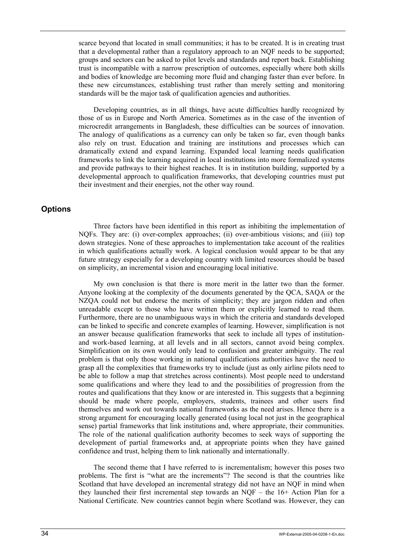scarce beyond that located in small communities; it has to be created. It is in creating trust that a developmental rather than a regulatory approach to an NQF needs to be supported; groups and sectors can be asked to pilot levels and standards and report back. Establishing trust is incompatible with a narrow prescription of outcomes, especially where both skills and bodies of knowledge are becoming more fluid and changing faster than ever before. In these new circumstances, establishing trust rather than merely setting and monitoring standards will be the major task of qualification agencies and authorities.

Developing countries, as in all things, have acute difficulties hardly recognized by those of us in Europe and North America. Sometimes as in the case of the invention of microcredit arrangements in Bangladesh, these difficulties can be sources of innovation. The analogy of qualifications as a currency can only be taken so far, even though banks also rely on trust. Education and training are institutions and processes which can dramatically extend and expand learning. Expanded local learning needs qualification frameworks to link the learning acquired in local institutions into more formalized systems and provide pathways to their highest reaches. It is in institution building, supported by a developmental approach to qualification frameworks, that developing countries must put their investment and their energies, not the other way round.

### **Options**

Three factors have been identified in this report as inhibiting the implementation of NQFs. They are: (i) over-complex approaches; (ii) over-ambitious visions; and (iii) top down strategies. None of these approaches to implementation take account of the realities in which qualifications actually work. A logical conclusion would appear to be that any future strategy especially for a developing country with limited resources should be based on simplicity, an incremental vision and encouraging local initiative.

My own conclusion is that there is more merit in the latter two than the former. Anyone looking at the complexity of the documents generated by the QCA, SAQA or the NZQA could not but endorse the merits of simplicity; they are jargon ridden and often unreadable except to those who have written them or explicitly learned to read them. Furthermore, there are no unambiguous ways in which the criteria and standards developed can be linked to specific and concrete examples of learning. However, simplification is not an answer because qualification frameworks that seek to include all types of institutionand work-based learning, at all levels and in all sectors, cannot avoid being complex. Simplification on its own would only lead to confusion and greater ambiguity. The real problem is that only those working in national qualifications authorities have the need to grasp all the complexities that frameworks try to include (just as only airline pilots need to be able to follow a map that stretches across continents). Most people need to understand some qualifications and where they lead to and the possibilities of progression from the routes and qualifications that they know or are interested in. This suggests that a beginning should be made where people, employers, students, trainees and other users find themselves and work out towards national frameworks as the need arises. Hence there is a strong argument for encouraging locally generated (using local not just in the geographical sense) partial frameworks that link institutions and, where appropriate, their communities. The role of the national qualification authority becomes to seek ways of supporting the development of partial frameworks and, at appropriate points when they have gained confidence and trust, helping them to link nationally and internationally.

The second theme that I have referred to is incrementalism; however this poses two problems. The first is "what are the increments"? The second is that the countries like Scotland that have developed an incremental strategy did not have an NQF in mind when they launched their first incremental step towards an NOF – the  $16+$  Action Plan for a National Certificate. New countries cannot begin where Scotland was. However, they can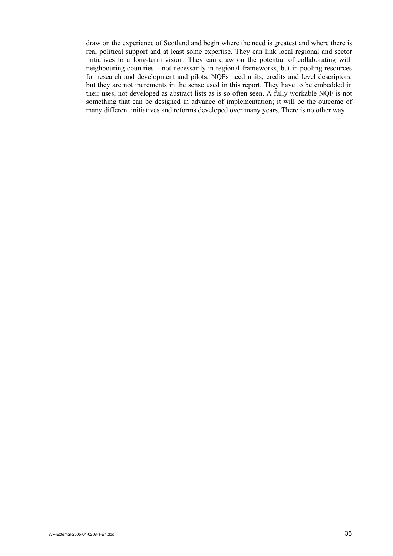draw on the experience of Scotland and begin where the need is greatest and where there is real political support and at least some expertise. They can link local regional and sector initiatives to a long-term vision. They can draw on the potential of collaborating with neighbouring countries – not necessarily in regional frameworks, but in pooling resources for research and development and pilots. NQFs need units, credits and level descriptors, but they are not increments in the sense used in this report. They have to be embedded in their uses, not developed as abstract lists as is so often seen. A fully workable NQF is not something that can be designed in advance of implementation; it will be the outcome of many different initiatives and reforms developed over many years. There is no other way.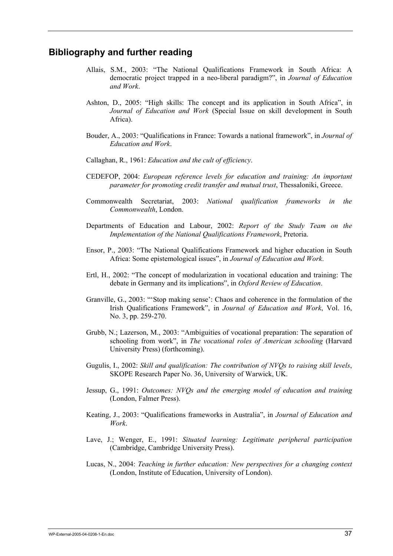## **Bibliography and further reading**

- Allais, S.M., 2003: "The National Oualifications Framework in South Africa: A democratic project trapped in a neo-liberal paradigm?", in *Journal of Education and Work*.
- Ashton, D., 2005: "High skills: The concept and its application in South Africa", in *Journal of Education and Work* (Special Issue on skill development in South Africa).
- Bouder, A., 2003: "Qualifications in France: Towards a national framework", in *Journal of Education and Work*.
- Callaghan, R., 1961: *Education and the cult of efficiency*.
- CEDEFOP, 2004: *European reference levels for education and training: An important parameter for promoting credit transfer and mutual trust*, Thessaloniki, Greece.
- Commonwealth Secretariat, 2003: *National qualification frameworks in the Commonwealth*, London.
- Departments of Education and Labour, 2002: *Report of the Study Team on the Implementation of the National Qualifications Framework*, Pretoria.
- Ensor, P., 2003: "The National Qualifications Framework and higher education in South Africa: Some epistemological issues", in *Journal of Education and Work*.
- Ertl, H., 2002: "The concept of modularization in vocational education and training: The debate in Germany and its implications", in *Oxford Review of Education*.
- Granville, G., 2003: "Stop making sense': Chaos and coherence in the formulation of the Irish Qualifications Framework", in *Journal of Education and Work*, Vol. 16, No. 3, pp. 259-270.
- Grubb, N.; Lazerson, M., 2003: "Ambiguities of vocational preparation: The separation of schooling from work", in *The vocational roles of American schooling* (Harvard University Press) (forthcoming).
- Gugulis, I., 2002: *Skill and qualification: The contribution of NVQs to raising skill levels*, SKOPE Research Paper No. 36, University of Warwick, UK.
- Jessup, G., 1991: *Outcomes: NVQs and the emerging model of education and training* (London, Falmer Press).
- Keating, J., 2003: "Qualifications frameworks in Australia", in *Journal of Education and Work*.
- Lave, J.; Wenger, E., 1991: *Situated learning: Legitimate peripheral participation* (Cambridge, Cambridge University Press).
- Lucas, N., 2004: *Teaching in further education: New perspectives for a changing context* (London, Institute of Education, University of London).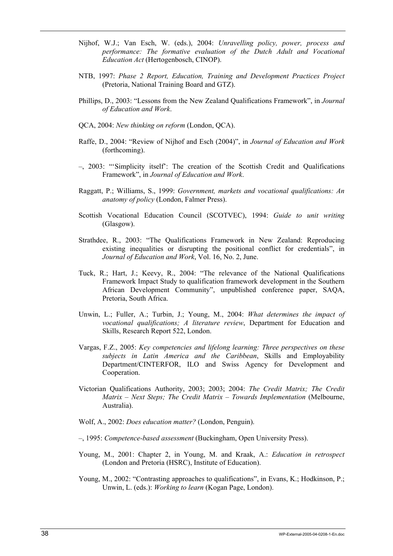- Nijhof, W.J.; Van Esch, W. (eds.), 2004: *Unravelling policy, power, process and performance: The formative evaluation of the Dutch Adult and Vocational Education Act* (Hertogenbosch, CINOP).
- NTB, 1997: *Phase 2 Report, Education, Training and Development Practices Project* (Pretoria, National Training Board and GTZ).
- Phillips, D., 2003: "Lessons from the New Zealand Qualifications Framework", in *Journal of Education and Work*.
- QCA, 2004: *New thinking on reform* (London, QCA).
- Raffe, D., 2004: "Review of Nijhof and Esch (2004)", in *Journal of Education and Work* (forthcoming).
- -, 2003: "Simplicity itself': The creation of the Scottish Credit and Qualifications Framework", in *Journal of Education and Work*.
- Raggatt, P.; Williams, S., 1999: *Government, markets and vocational qualifications: An anatomy of policy* (London, Falmer Press).
- Scottish Vocational Education Council (SCOTVEC), 1994: *Guide to unit writing* (Glasgow).
- Strathdee, R., 2003: "The Qualifications Framework in New Zealand: Reproducing existing inequalities or disrupting the positional conflict for credentials", in *Journal of Education and Work*, Vol. 16, No. 2, June.
- Tuck, R.; Hart, J.; Keevy, R., 2004: "The relevance of the National Qualifications Framework Impact Study to qualification framework development in the Southern African Development Community", unpublished conference paper, SAQA, Pretoria, South Africa.
- Unwin, L.; Fuller, A.; Turbin, J.; Young, M., 2004: *What determines the impact of vocational qualifications; A literature review*, Department for Education and Skills, Research Report 522, London.
- Vargas, F.Z., 2005: *Key competencies and lifelong learning: Three perspectives on these subjects in Latin America and the Caribbean*, Skills and Employability Department/CINTERFOR, ILO and Swiss Agency for Development and Cooperation.
- Victorian Qualifications Authority, 2003; 2003; 2004: *The Credit Matrix; The Credit Matrix – Next Steps; The Credit Matrix – Towards Implementation* (Melbourne, Australia).
- Wolf, A., 2002: *Does education matter?* (London, Penguin).
- ñ, 1995: *Competence-based assessment* (Buckingham, Open University Press).
- Young, M., 2001: Chapter 2, in Young, M. and Kraak, A.: *Education in retrospect* (London and Pretoria (HSRC), Institute of Education).
- Young, M., 2002: "Contrasting approaches to qualifications", in Evans, K.; Hodkinson, P.; Unwin, L. (eds.): *Working to learn* (Kogan Page, London).